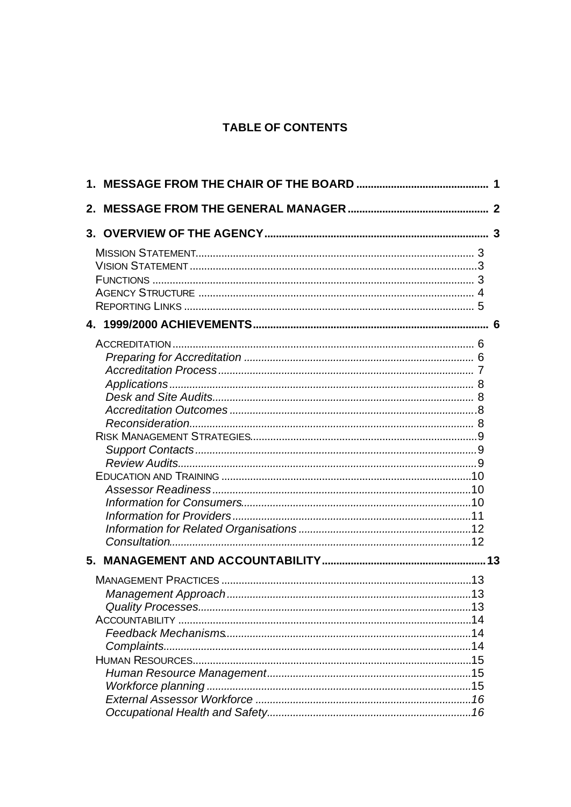# **TABLE OF CONTENTS**

| 2. |  |
|----|--|
|    |  |
|    |  |
|    |  |
|    |  |
|    |  |
|    |  |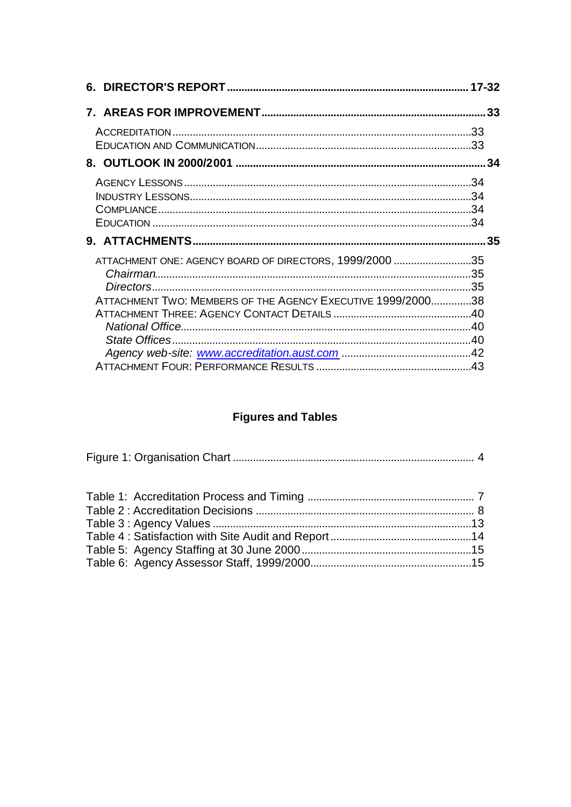| ATTACHMENT ONE: AGENCY BOARD OF DIRECTORS, 1999/2000 35     |  |
|-------------------------------------------------------------|--|
|                                                             |  |
|                                                             |  |
| ATTACHMENT TWO: MEMBERS OF THE AGENCY EXECUTIVE 1999/200038 |  |
|                                                             |  |
|                                                             |  |
|                                                             |  |
|                                                             |  |
|                                                             |  |

# **Figures and Tables**

|--|--|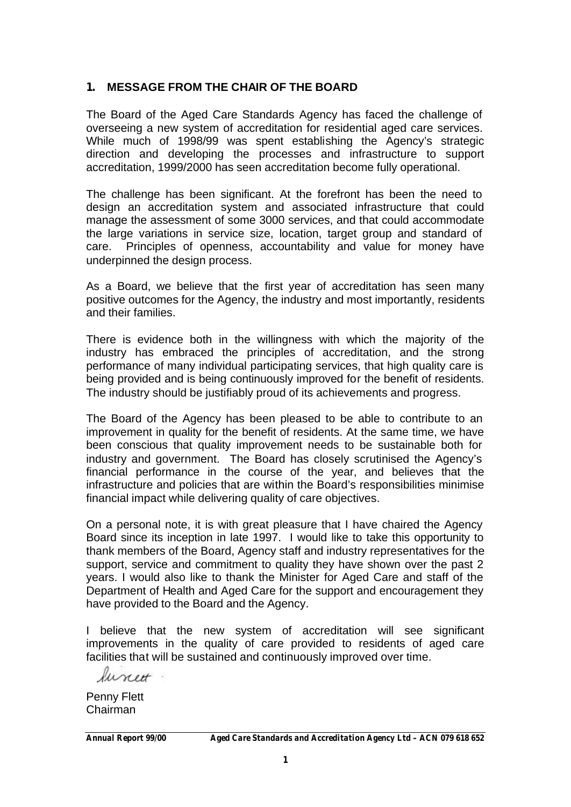## **1. MESSAGE FROM THE CHAIR OF THE BOARD**

The Board of the Aged Care Standards Agency has faced the challenge of overseeing a new system of accreditation for residential aged care services. While much of 1998/99 was spent establishing the Agency's strategic direction and developing the processes and infrastructure to support accreditation, 1999/2000 has seen accreditation become fully operational.

The challenge has been significant. At the forefront has been the need to design an accreditation system and associated infrastructure that could manage the assessment of some 3000 services, and that could accommodate the large variations in service size, location, target group and standard of care. Principles of openness, accountability and value for money have underpinned the design process.

As a Board, we believe that the first year of accreditation has seen many positive outcomes for the Agency, the industry and most importantly, residents and their families.

There is evidence both in the willingness with which the majority of the industry has embraced the principles of accreditation, and the strong performance of many individual participating services, that high quality care is being provided and is being continuously improved for the benefit of residents. The industry should be justifiably proud of its achievements and progress.

The Board of the Agency has been pleased to be able to contribute to an improvement in quality for the benefit of residents. At the same time, we have been conscious that quality improvement needs to be sustainable both for industry and government. The Board has closely scrutinised the Agency's financial performance in the course of the year, and believes that the infrastructure and policies that are within the Board's responsibilities minimise financial impact while delivering quality of care objectives.

On a personal note, it is with great pleasure that I have chaired the Agency Board since its inception in late 1997. I would like to take this opportunity to thank members of the Board, Agency staff and industry representatives for the support, service and commitment to quality they have shown over the past 2 years. I would also like to thank the Minister for Aged Care and staff of the Department of Health and Aged Care for the support and encouragement they have provided to the Board and the Agency.

I believe that the new system of accreditation will see significant improvements in the quality of care provided to residents of aged care facilities that will be sustained and continuously improved over time.

funet.

Penny Flett Chairman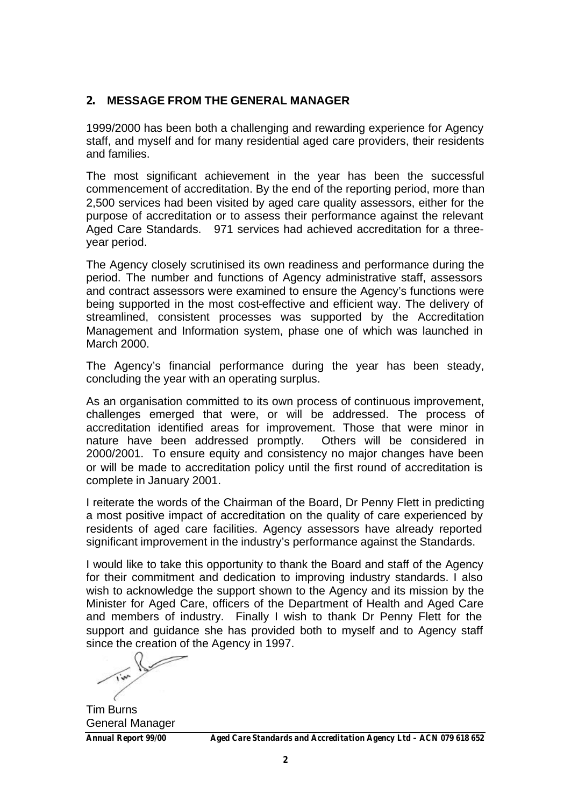## **2. MESSAGE FROM THE GENERAL MANAGER**

1999/2000 has been both a challenging and rewarding experience for Agency staff, and myself and for many residential aged care providers, their residents and families.

The most significant achievement in the year has been the successful commencement of accreditation. By the end of the reporting period, more than 2,500 services had been visited by aged care quality assessors, either for the purpose of accreditation or to assess their performance against the relevant Aged Care Standards. 971 services had achieved accreditation for a threeyear period.

The Agency closely scrutinised its own readiness and performance during the period. The number and functions of Agency administrative staff, assessors and contract assessors were examined to ensure the Agency's functions were being supported in the most cost-effective and efficient way. The delivery of streamlined, consistent processes was supported by the Accreditation Management and Information system, phase one of which was launched in March 2000.

The Agency's financial performance during the year has been steady, concluding the year with an operating surplus.

As an organisation committed to its own process of continuous improvement, challenges emerged that were, or will be addressed. The process of accreditation identified areas for improvement. Those that were minor in nature have been addressed promptly. Others will be considered in 2000/2001. To ensure equity and consistency no major changes have been or will be made to accreditation policy until the first round of accreditation is complete in January 2001.

I reiterate the words of the Chairman of the Board, Dr Penny Flett in predicting a most positive impact of accreditation on the quality of care experienced by residents of aged care facilities. Agency assessors have already reported significant improvement in the industry's performance against the Standards.

I would like to take this opportunity to thank the Board and staff of the Agency for their commitment and dedication to improving industry standards. I also wish to acknowledge the support shown to the Agency and its mission by the Minister for Aged Care, officers of the Department of Health and Aged Care and members of industry. Finally I wish to thank Dr Penny Flett for the support and guidance she has provided both to myself and to Agency staff since the creation of the Agency in 1997.

Tim Burns General Manager

*Annual Report 99/00 Aged Care Standards and Accreditation Agency Ltd – ACN 079 618 652*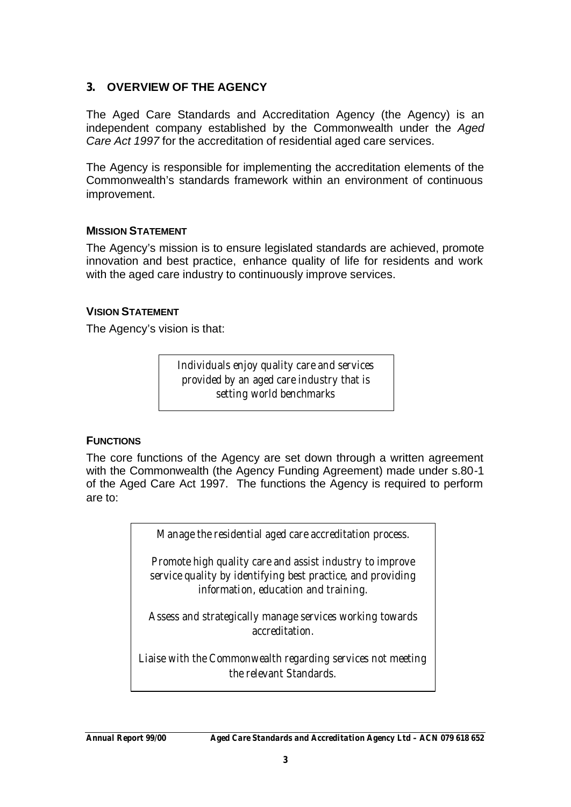## **3. OVERVIEW OF THE AGENCY**

The Aged Care Standards and Accreditation Agency (the Agency) is an independent company established by the Commonwealth under the *Aged Care Act 1997* for the accreditation of residential aged care services.

The Agency is responsible for implementing the accreditation elements of the Commonwealth's standards framework within an environment of continuous improvement.

### **MISSION STATEMENT**

The Agency's mission is to ensure legislated standards are achieved, promote innovation and best practice, enhance quality of life for residents and work with the aged care industry to continuously improve services.

#### **VISION STATEMENT**

The Agency's vision is that:

*Individuals enjoy quality care and services provided by an aged care industry that is setting world benchmarks*

#### **FUNCTIONS**

The core functions of the Agency are set down through a written agreement with the Commonwealth (the Agency Funding Agreement) made under s.80-1 of the Aged Care Act 1997. The functions the Agency is required to perform are to:

*Manage the residential aged care accreditation process.*

*Promote high quality care and assist industry to improve service quality by identifying best practice, and providing information, education and training.*

*Assess and strategically manage services working towards accreditation.*

*Liaise with the Commonwealth regarding services not meeting the relevant Standards.*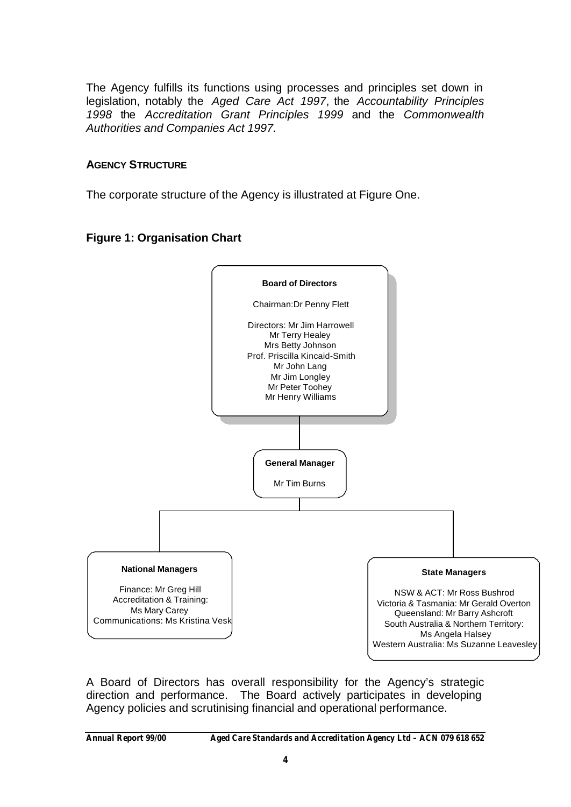The Agency fulfills its functions using processes and principles set down in legislation, notably the *Aged Care Act 1997*, the *Accountability Principles 1998* the *Accreditation Grant Principles 1999* and the *Commonwealth Authorities and Companies Act 1997.*

### **AGENCY STRUCTURE**

The corporate structure of the Agency is illustrated at Figure One.

## **Figure 1: Organisation Chart**



A Board of Directors has overall responsibility for the Agency's strategic direction and performance. The Board actively participates in developing Agency policies and scrutinising financial and operational performance.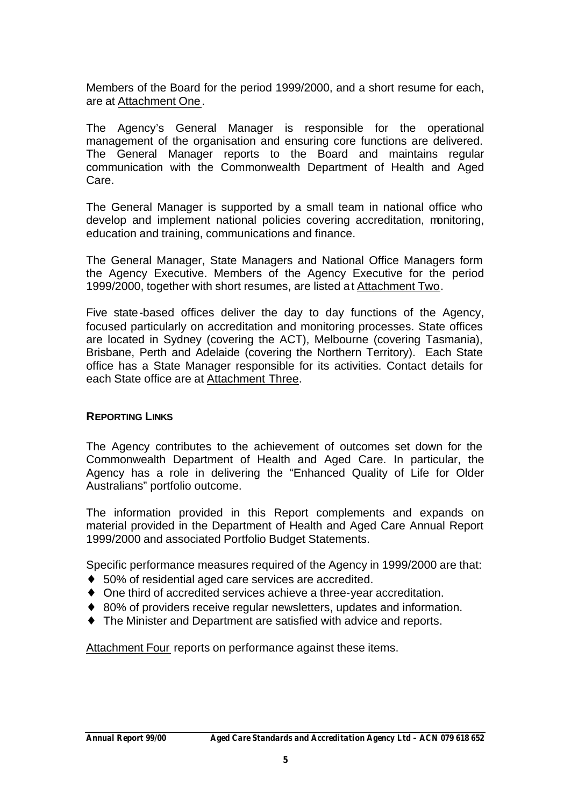Members of the Board for the period 1999/2000, and a short resume for each, are at Attachment One.

The Agency's General Manager is responsible for the operational management of the organisation and ensuring core functions are delivered. The General Manager reports to the Board and maintains regular communication with the Commonwealth Department of Health and Aged Care.

The General Manager is supported by a small team in national office who develop and implement national policies covering accreditation, monitoring, education and training, communications and finance.

The General Manager, State Managers and National Office Managers form the Agency Executive. Members of the Agency Executive for the period 1999/2000, together with short resumes, are listed at Attachment Two.

Five state-based offices deliver the day to day functions of the Agency, focused particularly on accreditation and monitoring processes. State offices are located in Sydney (covering the ACT), Melbourne (covering Tasmania), Brisbane, Perth and Adelaide (covering the Northern Territory). Each State office has a State Manager responsible for its activities. Contact details for each State office are at Attachment Three.

#### **REPORTING LINKS**

The Agency contributes to the achievement of outcomes set down for the Commonwealth Department of Health and Aged Care. In particular, the Agency has a role in delivering the "Enhanced Quality of Life for Older Australians" portfolio outcome.

The information provided in this Report complements and expands on material provided in the Department of Health and Aged Care Annual Report 1999/2000 and associated Portfolio Budget Statements.

Specific performance measures required of the Agency in 1999/2000 are that:

- ♦ 50% of residential aged care services are accredited.
- ♦ One third of accredited services achieve a three-year accreditation.
- ◆ 80% of providers receive regular newsletters, updates and information.
- ♦ The Minister and Department are satisfied with advice and reports.

Attachment Four reports on performance against these items.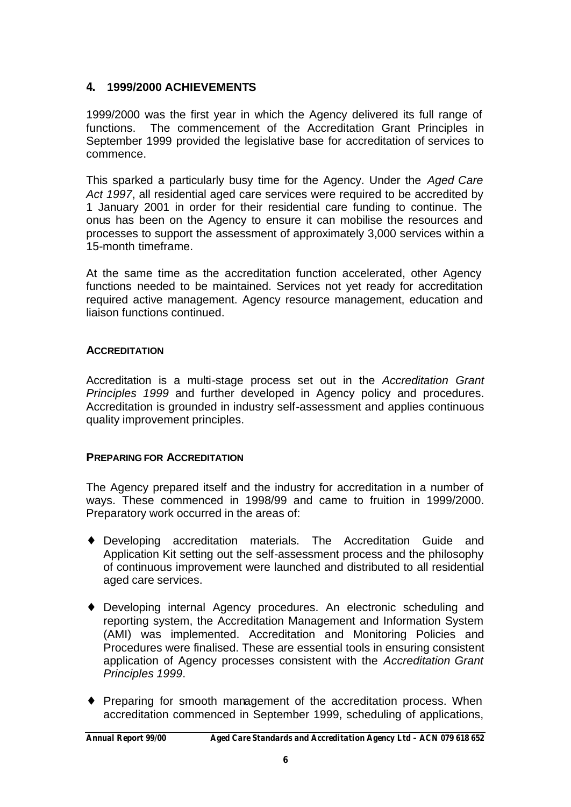## **4. 1999/2000 ACHIEVEMENTS**

1999/2000 was the first year in which the Agency delivered its full range of functions. The commencement of the Accreditation Grant Principles in September 1999 provided the legislative base for accreditation of services to commence.

This sparked a particularly busy time for the Agency. Under the *Aged Care Act 1997*, all residential aged care services were required to be accredited by 1 January 2001 in order for their residential care funding to continue. The onus has been on the Agency to ensure it can mobilise the resources and processes to support the assessment of approximately 3,000 services within a 15-month timeframe.

At the same time as the accreditation function accelerated, other Agency functions needed to be maintained. Services not yet ready for accreditation required active management. Agency resource management, education and liaison functions continued.

## **ACCREDITATION**

Accreditation is a multi-stage process set out in the *Accreditation Grant Principles 1999* and further developed in Agency policy and procedures. Accreditation is grounded in industry self-assessment and applies continuous quality improvement principles.

## **PREPARING FOR ACCREDITATION**

The Agency prepared itself and the industry for accreditation in a number of ways. These commenced in 1998/99 and came to fruition in 1999/2000. Preparatory work occurred in the areas of:

- ♦ Developing accreditation materials. The Accreditation Guide and Application Kit setting out the self-assessment process and the philosophy of continuous improvement were launched and distributed to all residential aged care services.
- ♦ Developing internal Agency procedures. An electronic scheduling and reporting system, the Accreditation Management and Information System (AMI) was implemented. Accreditation and Monitoring Policies and Procedures were finalised. These are essential tools in ensuring consistent application of Agency processes consistent with the *Accreditation Grant Principles 1999*.
- ♦ Preparing for smooth management of the accreditation process. When accreditation commenced in September 1999, scheduling of applications,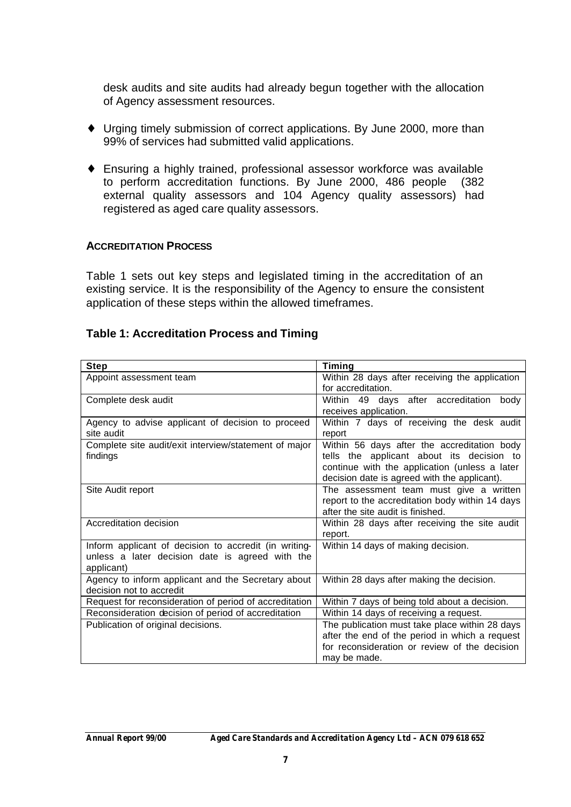desk audits and site audits had already begun together with the allocation of Agency assessment resources.

- ♦ Urging timely submission of correct applications. By June 2000, more than 99% of services had submitted valid applications.
- ♦ Ensuring a highly trained, professional assessor workforce was available to perform accreditation functions. By June 2000, 486 people (382 external quality assessors and 104 Agency quality assessors) had registered as aged care quality assessors.

### **ACCREDITATION PROCESS**

Table 1 sets out key steps and legislated timing in the accreditation of an existing service. It is the responsibility of the Agency to ensure the consistent application of these steps within the allowed timeframes.

### **Table 1: Accreditation Process and Timing**

| <b>Step</b>                                                                                                            | <b>Timing</b>                                                                                                                                                                             |
|------------------------------------------------------------------------------------------------------------------------|-------------------------------------------------------------------------------------------------------------------------------------------------------------------------------------------|
| Appoint assessment team                                                                                                | Within 28 days after receiving the application<br>for accreditation.                                                                                                                      |
| Complete desk audit                                                                                                    | Within 49 days after accreditation body<br>receives application.                                                                                                                          |
| Agency to advise applicant of decision to proceed<br>site audit                                                        | Within 7 days of receiving the desk audit<br>report                                                                                                                                       |
| Complete site audit/exit interview/statement of major<br>findings                                                      | Within 56 days after the accreditation body<br>tells the applicant about its decision to<br>continue with the application (unless a later<br>decision date is agreed with the applicant). |
| Site Audit report                                                                                                      | The assessment team must give a written<br>report to the accreditation body within 14 days<br>after the site audit is finished.                                                           |
| Accreditation decision                                                                                                 | Within 28 days after receiving the site audit<br>report.                                                                                                                                  |
| Inform applicant of decision to accredit (in writing-<br>unless a later decision date is agreed with the<br>applicant) | Within 14 days of making decision.                                                                                                                                                        |
| Agency to inform applicant and the Secretary about<br>decision not to accredit                                         | Within 28 days after making the decision.                                                                                                                                                 |
| Request for reconsideration of period of accreditation                                                                 | Within 7 days of being told about a decision.                                                                                                                                             |
| Reconsideration decision of period of accreditation                                                                    | Within 14 days of receiving a request.                                                                                                                                                    |
| Publication of original decisions.                                                                                     | The publication must take place within 28 days<br>after the end of the period in which a request<br>for reconsideration or review of the decision<br>may be made.                         |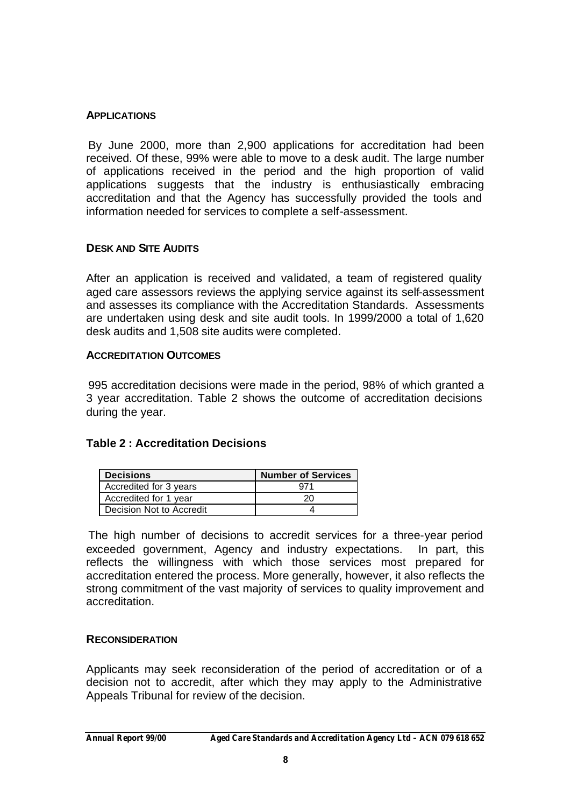#### **APPLICATIONS**

By June 2000, more than 2,900 applications for accreditation had been received. Of these, 99% were able to move to a desk audit. The large number of applications received in the period and the high proportion of valid applications suggests that the industry is enthusiastically embracing accreditation and that the Agency has successfully provided the tools and information needed for services to complete a self-assessment.

#### **DESK AND SITE AUDITS**

After an application is received and validated, a team of registered quality aged care assessors reviews the applying service against its self-assessment and assesses its compliance with the Accreditation Standards. Assessments are undertaken using desk and site audit tools. In 1999/2000 a total of 1,620 desk audits and 1,508 site audits were completed.

#### **ACCREDITATION OUTCOMES**

995 accreditation decisions were made in the period, 98% of which granted a 3 year accreditation. Table 2 shows the outcome of accreditation decisions during the year.

#### **Table 2 : Accreditation Decisions**

| <b>Decisions</b>         | <b>Number of Services</b> |
|--------------------------|---------------------------|
| Accredited for 3 years   |                           |
| Accredited for 1 year    |                           |
| Decision Not to Accredit |                           |

The high number of decisions to accredit services for a three-year period exceeded government, Agency and industry expectations. In part, this reflects the willingness with which those services most prepared for accreditation entered the process. More generally, however, it also reflects the strong commitment of the vast majority of services to quality improvement and accreditation.

#### **RECONSIDERATION**

Applicants may seek reconsideration of the period of accreditation or of a decision not to accredit, after which they may apply to the Administrative Appeals Tribunal for review of the decision.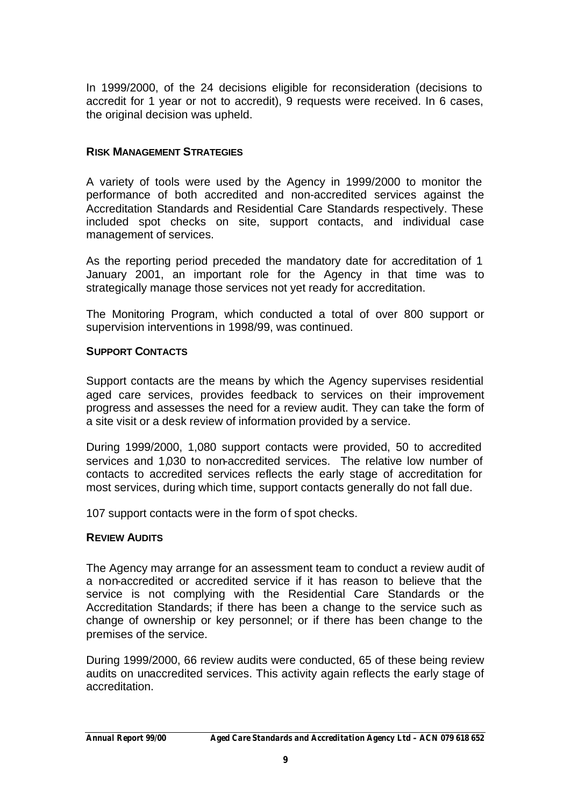In 1999/2000, of the 24 decisions eligible for reconsideration (decisions to accredit for 1 year or not to accredit), 9 requests were received. In 6 cases, the original decision was upheld.

### **RISK MANAGEMENT STRATEGIES**

A variety of tools were used by the Agency in 1999/2000 to monitor the performance of both accredited and non-accredited services against the Accreditation Standards and Residential Care Standards respectively. These included spot checks on site, support contacts, and individual case management of services.

As the reporting period preceded the mandatory date for accreditation of 1 January 2001, an important role for the Agency in that time was to strategically manage those services not yet ready for accreditation.

The Monitoring Program, which conducted a total of over 800 support or supervision interventions in 1998/99, was continued.

### **SUPPORT CONTACTS**

Support contacts are the means by which the Agency supervises residential aged care services, provides feedback to services on their improvement progress and assesses the need for a review audit. They can take the form of a site visit or a desk review of information provided by a service.

During 1999/2000, 1,080 support contacts were provided, 50 to accredited services and 1,030 to non-accredited services. The relative low number of contacts to accredited services reflects the early stage of accreditation for most services, during which time, support contacts generally do not fall due.

107 support contacts were in the form of spot checks.

## **REVIEW AUDITS**

The Agency may arrange for an assessment team to conduct a review audit of a non-accredited or accredited service if it has reason to believe that the service is not complying with the Residential Care Standards or the Accreditation Standards; if there has been a change to the service such as change of ownership or key personnel; or if there has been change to the premises of the service.

During 1999/2000, 66 review audits were conducted, 65 of these being review audits on unaccredited services. This activity again reflects the early stage of accreditation.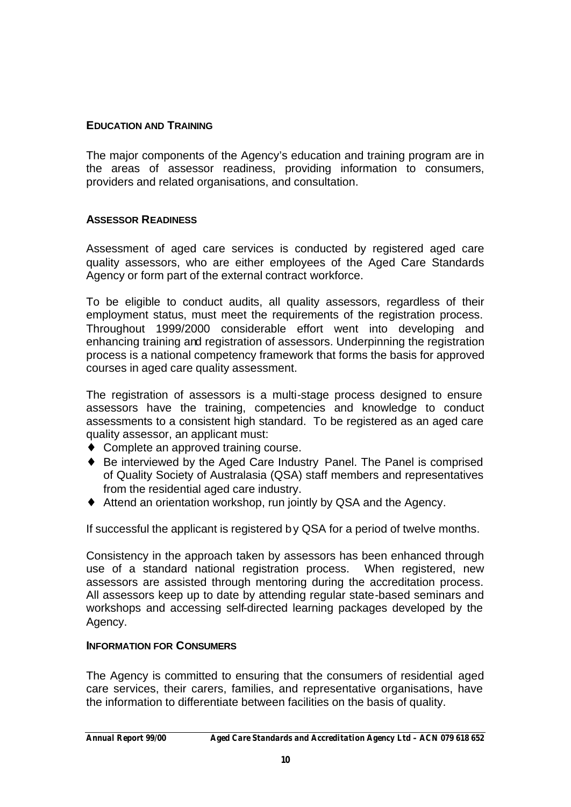### **EDUCATION AND TRAINING**

The major components of the Agency's education and training program are in the areas of assessor readiness, providing information to consumers, providers and related organisations, and consultation.

#### **ASSESSOR READINESS**

Assessment of aged care services is conducted by registered aged care quality assessors, who are either employees of the Aged Care Standards Agency or form part of the external contract workforce.

To be eligible to conduct audits, all quality assessors, regardless of their employment status, must meet the requirements of the registration process. Throughout 1999/2000 considerable effort went into developing and enhancing training and registration of assessors. Underpinning the registration process is a national competency framework that forms the basis for approved courses in aged care quality assessment.

The registration of assessors is a multi-stage process designed to ensure assessors have the training, competencies and knowledge to conduct assessments to a consistent high standard. To be registered as an aged care quality assessor, an applicant must:

- ♦ Complete an approved training course.
- ♦ Be interviewed by the Aged Care Industry Panel. The Panel is comprised of Quality Society of Australasia (QSA) staff members and representatives from the residential aged care industry.
- ♦ Attend an orientation workshop, run jointly by QSA and the Agency.

If successful the applicant is registered by QSA for a period of twelve months.

Consistency in the approach taken by assessors has been enhanced through use of a standard national registration process. When registered, new assessors are assisted through mentoring during the accreditation process. All assessors keep up to date by attending regular state-based seminars and workshops and accessing self-directed learning packages developed by the Agency.

#### **INFORMATION FOR CONSUMERS**

The Agency is committed to ensuring that the consumers of residential aged care services, their carers, families, and representative organisations, have the information to differentiate between facilities on the basis of quality.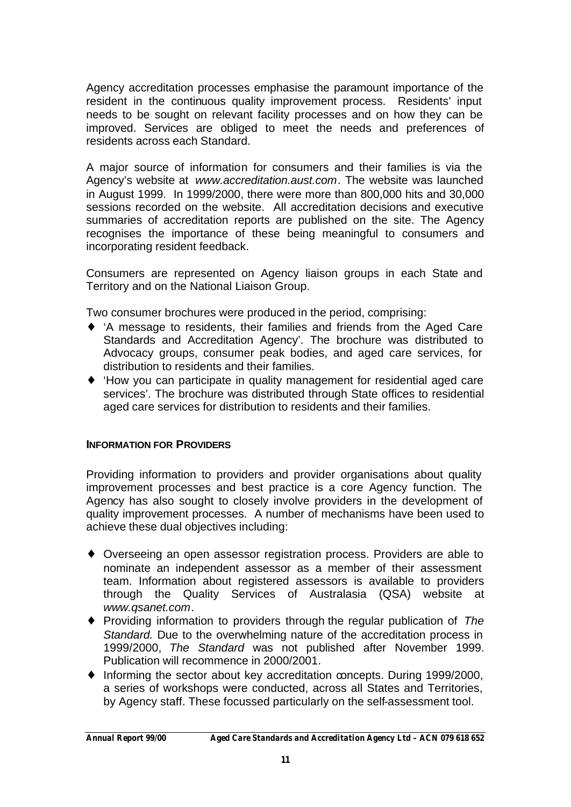Agency accreditation processes emphasise the paramount importance of the resident in the continuous quality improvement process. Residents' input needs to be sought on relevant facility processes and on how they can be improved. Services are obliged to meet the needs and preferences of residents across each Standard.

A major source of information for consumers and their families is via the Agency's website at *www.accreditation.aust.com*. The website was launched in August 1999. In 1999/2000, there were more than 800,000 hits and 30,000 sessions recorded on the website. All accreditation decisions and executive summaries of accreditation reports are published on the site. The Agency recognises the importance of these being meaningful to consumers and incorporating resident feedback.

Consumers are represented on Agency liaison groups in each State and Territory and on the National Liaison Group.

Two consumer brochures were produced in the period, comprising:

- ♦ 'A message to residents, their families and friends from the Aged Care Standards and Accreditation Agency'. The brochure was distributed to Advocacy groups, consumer peak bodies, and aged care services, for distribution to residents and their families.
- ♦ 'How you can participate in quality management for residential aged care services'. The brochure was distributed through State offices to residential aged care services for distribution to residents and their families.

## **INFORMATION FOR PROVIDERS**

Providing information to providers and provider organisations about quality improvement processes and best practice is a core Agency function. The Agency has also sought to closely involve providers in the development of quality improvement processes. A number of mechanisms have been used to achieve these dual objectives including:

- ♦ Overseeing an open assessor registration process. Providers are able to nominate an independent assessor as a member of their assessment team. Information about registered assessors is available to providers through the Quality Services of Australasia (QSA) website *www.qsanet.com*.
- ♦ Providing information to providers through the regular publication of *The Standard.* Due to the overwhelming nature of the accreditation process in 1999/2000, *The Standard* was not published after November 1999. Publication will recommence in 2000/2001.
- ♦ Informing the sector about key accreditation concepts. During 1999/2000, a series of workshops were conducted, across all States and Territories, by Agency staff. These focussed particularly on the self-assessment tool.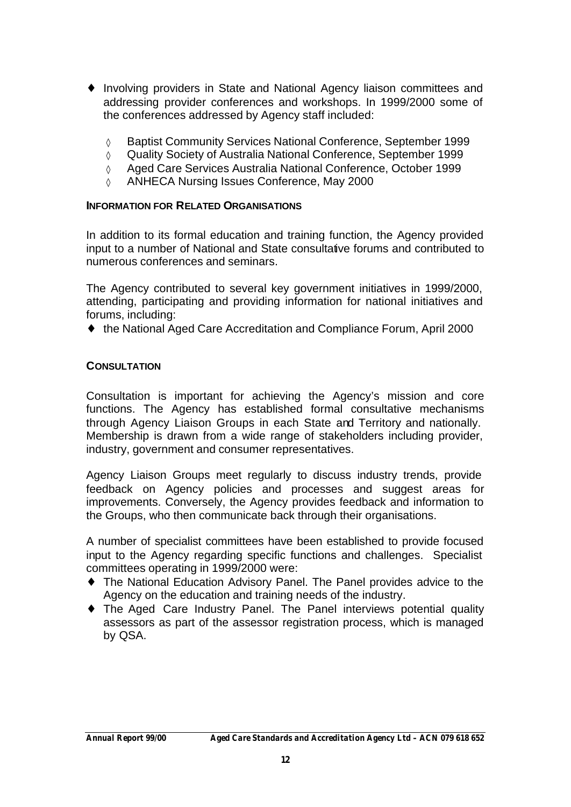- ♦ Involving providers in State and National Agency liaison committees and addressing provider conferences and workshops. In 1999/2000 some of the conferences addressed by Agency staff included:
	- ◊ Baptist Community Services National Conference, September 1999
	- ◊ Quality Society of Australia National Conference, September 1999
	- ◊ Aged Care Services Australia National Conference, October 1999
	- ◊ ANHECA Nursing Issues Conference, May 2000

### **INFORMATION FOR RELATED ORGANISATIONS**

In addition to its formal education and training function, the Agency provided input to a number of National and State consultative forums and contributed to numerous conferences and seminars.

The Agency contributed to several key government initiatives in 1999/2000, attending, participating and providing information for national initiatives and forums, including:

♦ the National Aged Care Accreditation and Compliance Forum, April 2000

### **CONSULTATION**

Consultation is important for achieving the Agency's mission and core functions. The Agency has established formal consultative mechanisms through Agency Liaison Groups in each State and Territory and nationally. Membership is drawn from a wide range of stakeholders including provider, industry, government and consumer representatives.

Agency Liaison Groups meet regularly to discuss industry trends, provide feedback on Agency policies and processes and suggest areas for improvements. Conversely, the Agency provides feedback and information to the Groups, who then communicate back through their organisations.

A number of specialist committees have been established to provide focused input to the Agency regarding specific functions and challenges. Specialist committees operating in 1999/2000 were:

- ♦ The National Education Advisory Panel. The Panel provides advice to the Agency on the education and training needs of the industry.
- ♦ The Aged Care Industry Panel. The Panel interviews potential quality assessors as part of the assessor registration process, which is managed by QSA.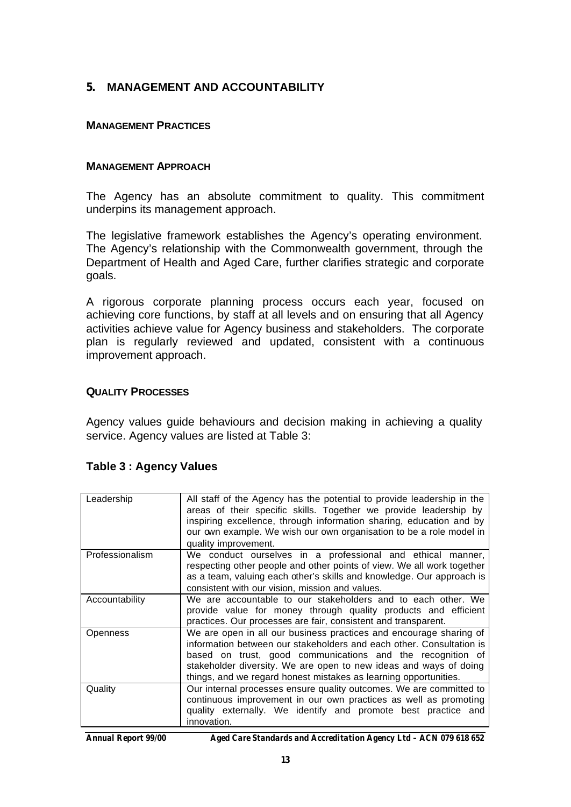## **5. MANAGEMENT AND ACCOUNTABILITY**

#### **MANAGEMENT PRACTICES**

#### **MANAGEMENT APPROACH**

The Agency has an absolute commitment to quality. This commitment underpins its management approach.

The legislative framework establishes the Agency's operating environment. The Agency's relationship with the Commonwealth government, through the Department of Health and Aged Care, further clarifies strategic and corporate goals.

A rigorous corporate planning process occurs each year, focused on achieving core functions, by staff at all levels and on ensuring that all Agency activities achieve value for Agency business and stakeholders. The corporate plan is regularly reviewed and updated, consistent with a continuous improvement approach.

#### **QUALITY PROCESSES**

Agency values guide behaviours and decision making in achieving a quality service. Agency values are listed at Table 3:

| Leadership      | All staff of the Agency has the potential to provide leadership in the<br>areas of their specific skills. Together we provide leadership by<br>inspiring excellence, through information sharing, education and by<br>our own example. We wish our own organisation to be a role model in<br>quality improvement.                                 |
|-----------------|---------------------------------------------------------------------------------------------------------------------------------------------------------------------------------------------------------------------------------------------------------------------------------------------------------------------------------------------------|
| Professionalism | We conduct ourselves in a professional and ethical manner,<br>respecting other people and other points of view. We all work together<br>as a team, valuing each other's skills and knowledge. Our approach is<br>consistent with our vision, mission and values.                                                                                  |
| Accountability  | We are accountable to our stakeholders and to each other. We<br>provide value for money through quality products and efficient<br>practices. Our processes are fair, consistent and transparent.                                                                                                                                                  |
| Openness        | We are open in all our business practices and encourage sharing of<br>information between our stakeholders and each other. Consultation is<br>based on trust, good communications and the recognition of<br>stakeholder diversity. We are open to new ideas and ways of doing<br>things, and we regard honest mistakes as learning opportunities. |
| Quality         | Our internal processes ensure quality outcomes. We are committed to<br>continuous improvement in our own practices as well as promoting<br>quality externally. We identify and promote best practice and<br>innovation.                                                                                                                           |

## **Table 3 : Agency Values**

*Annual Report 99/00 Aged Care Standards and Accreditation Agency Ltd – ACN 079 618 652*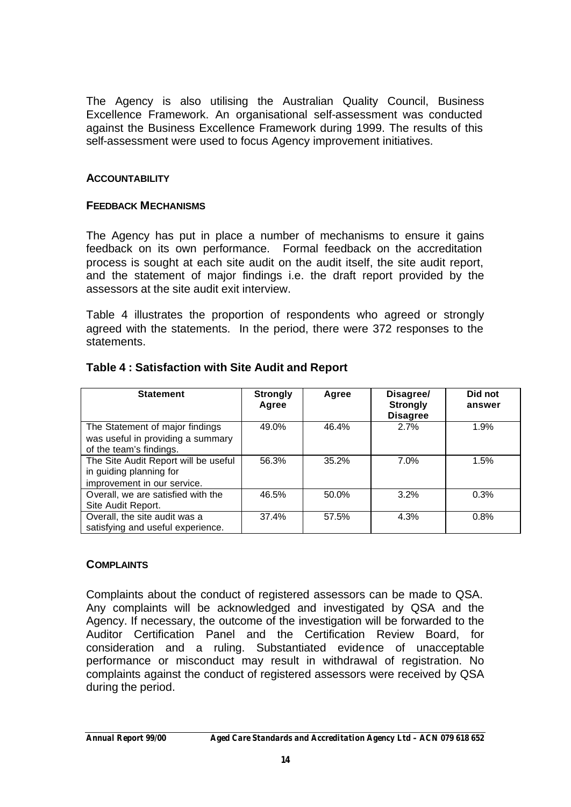The Agency is also utilising the Australian Quality Council, Business Excellence Framework. An organisational self-assessment was conducted against the Business Excellence Framework during 1999. The results of this self-assessment were used to focus Agency improvement initiatives.

### **ACCOUNTABILITY**

#### **FEEDBACK MECHANISMS**

The Agency has put in place a number of mechanisms to ensure it gains feedback on its own performance. Formal feedback on the accreditation process is sought at each site audit on the audit itself, the site audit report, and the statement of major findings i.e. the draft report provided by the assessors at the site audit exit interview.

Table 4 illustrates the proportion of respondents who agreed or strongly agreed with the statements. In the period, there were 372 responses to the statements.

| <b>Statement</b>                                                                                | <b>Strongly</b><br>Agree | Agree | Disagree/<br><b>Strongly</b><br><b>Disagree</b> | Did not<br>answer |
|-------------------------------------------------------------------------------------------------|--------------------------|-------|-------------------------------------------------|-------------------|
| The Statement of major findings<br>was useful in providing a summary<br>of the team's findings. | 49.0%                    | 46.4% | 2.7%                                            | 1.9%              |
| The Site Audit Report will be useful<br>in guiding planning for<br>improvement in our service.  | 56.3%                    | 35.2% | 7.0%                                            | 1.5%              |
| Overall, we are satisfied with the<br>Site Audit Report.                                        | 46.5%                    | 50.0% | 3.2%                                            | 0.3%              |
| Overall, the site audit was a<br>satisfying and useful experience.                              | 37.4%                    | 57.5% | 4.3%                                            | 0.8%              |

#### **Table 4 : Satisfaction with Site Audit and Report**

#### **COMPLAINTS**

Complaints about the conduct of registered assessors can be made to QSA. Any complaints will be acknowledged and investigated by QSA and the Agency. If necessary, the outcome of the investigation will be forwarded to the Auditor Certification Panel and the Certification Review Board, for consideration and a ruling. Substantiated evidence of unacceptable performance or misconduct may result in withdrawal of registration. No complaints against the conduct of registered assessors were received by QSA during the period.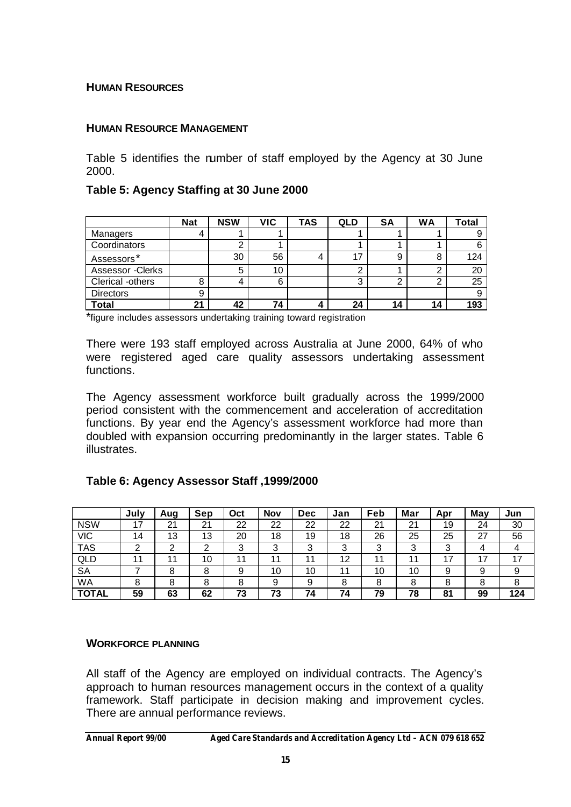#### **HUMAN RESOURCES**

### **HUMAN RESOURCE MANAGEMENT**

Table 5 identifies the number of staff employed by the Agency at 30 June 2000.

### **Table 5: Agency Staffing at 30 June 2000**

|                   | <b>Nat</b> | <b>NSW</b> | VIC | TAS | QLD           | <b>SA</b> | <b>WA</b> | <b>Total</b> |
|-------------------|------------|------------|-----|-----|---------------|-----------|-----------|--------------|
| Managers          |            |            |     |     |               |           |           |              |
| Coordinators      |            |            |     |     |               |           |           | 6            |
| Assessors*        |            | 30         | 56  | 4   | 17            | 9         | 8         | 124          |
| Assessor - Clerks |            | 5          | 10  |     | ◠             |           | ◠         | 20           |
| Clerical -others  |            |            | 6   |     | ◠<br><b>ت</b> |           | 2         | 25           |
| <b>Directors</b>  | 9          |            |     |     |               |           |           | 9            |
| Total             | 21         | 42         | 74  | 4   | 24            | 14        | 14        | 193          |

\*figure includes assessors undertaking training toward registration

There were 193 staff employed across Australia at June 2000, 64% of who were registered aged care quality assessors undertaking assessment functions.

The Agency assessment workforce built gradually across the 1999/2000 period consistent with the commencement and acceleration of accreditation functions. By year end the Agency's assessment workforce had more than doubled with expansion occurring predominantly in the larger states. Table 6 illustrates.

## **Table 6: Agency Assessor Staff ,1999/2000**

|              | July | Aug | Sep | Oct | <b>Nov</b> | <b>Dec</b> | Jan | Feb | Mar | Apr    | May | Jun |
|--------------|------|-----|-----|-----|------------|------------|-----|-----|-----|--------|-----|-----|
| <b>NSW</b>   | 17   | 21  | 21  | 22  | 22         | 22         | 22  | 21  | 21  | 19     | 24  | 30  |
| <b>VIC</b>   | 14   | 13  | 13  | 20  | 18         | 19         | 18  | 26  | 25  | 25     | 27  | 56  |
| <b>TAS</b>   | ⌒    | ົ   | ◠   | 3   | ◠          | 3          | 3   | 3   | ◠   | ≏<br>ື | 4   | 4   |
| QLD          |      | 11  | 10  | 11  | 44         | 11         | 12  | 11  | 11  | 47     | 17  | 17  |
| <b>SA</b>    |      | 8   | 8   | 9   | 10         | 10         | 11  | 10  | 10  | 9      | 9   | 9   |
| <b>WA</b>    | 8    | 8   | 8   | O   | 9          | 9          | 8   | 8   |     |        | 8   | 8   |
| <b>TOTAL</b> | 59   | 63  | 62  | 73  | 73         | 74         | 74  | 79  | 78  | 81     | 99  | 124 |

#### **WORKFORCE PLANNING**

All staff of the Agency are employed on individual contracts. The Agency's approach to human resources management occurs in the context of a quality framework. Staff participate in decision making and improvement cycles. There are annual performance reviews.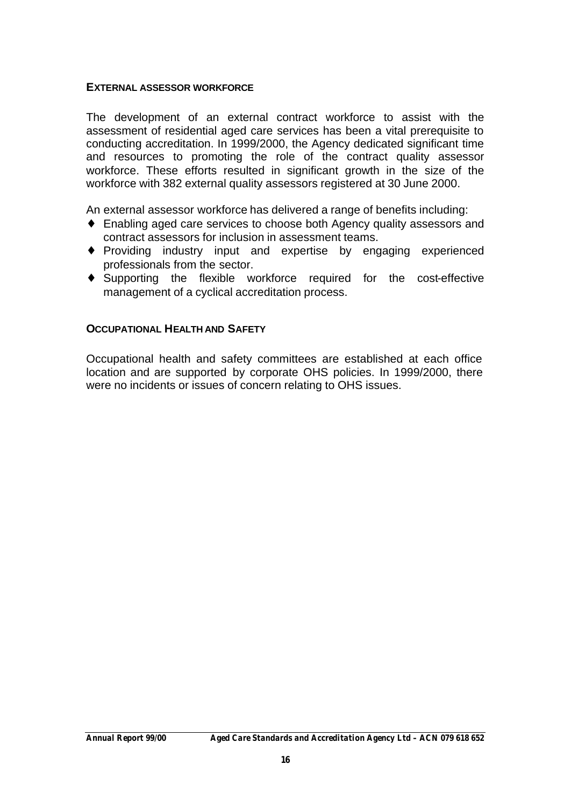#### **EXTERNAL ASSESSOR WORKFORCE**

The development of an external contract workforce to assist with the assessment of residential aged care services has been a vital prerequisite to conducting accreditation. In 1999/2000, the Agency dedicated significant time and resources to promoting the role of the contract quality assessor workforce. These efforts resulted in significant growth in the size of the workforce with 382 external quality assessors registered at 30 June 2000.

An external assessor workforce has delivered a range of benefits including:

- ♦ Enabling aged care services to choose both Agency quality assessors and contract assessors for inclusion in assessment teams.
- ♦ Providing industry input and expertise by engaging experienced professionals from the sector.
- ♦ Supporting the flexible workforce required for the cost-effective management of a cyclical accreditation process.

### **OCCUPATIONAL HEALTH AND SAFETY**

Occupational health and safety committees are established at each office location and are supported by corporate OHS policies. In 1999/2000, there were no incidents or issues of concern relating to OHS issues.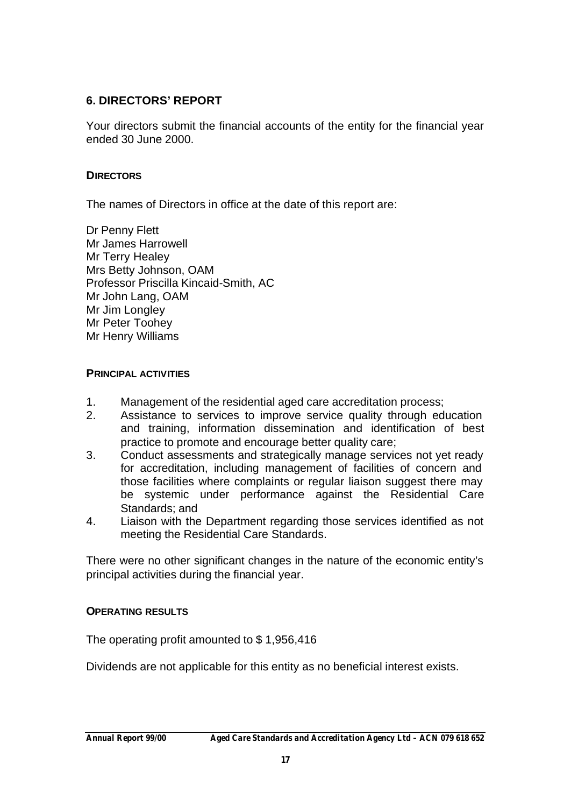## **6. DIRECTORS' REPORT**

Your directors submit the financial accounts of the entity for the financial year ended 30 June 2000.

### **DIRECTORS**

The names of Directors in office at the date of this report are:

Dr Penny Flett Mr James Harrowell Mr Terry Healey Mrs Betty Johnson, OAM Professor Priscilla Kincaid-Smith, AC Mr John Lang, OAM Mr Jim Longley Mr Peter Toohey Mr Henry Williams

#### **PRINCIPAL ACTIVITIES**

- 1. Management of the residential aged care accreditation process;
- 2. Assistance to services to improve service quality through education and training, information dissemination and identification of best practice to promote and encourage better quality care;
- 3. Conduct assessments and strategically manage services not yet ready for accreditation, including management of facilities of concern and those facilities where complaints or regular liaison suggest there may be systemic under performance against the Residential Care Standards; and
- 4. Liaison with the Department regarding those services identified as not meeting the Residential Care Standards.

There were no other significant changes in the nature of the economic entity's principal activities during the financial year.

#### **OPERATING RESULTS**

The operating profit amounted to \$ 1,956,416

Dividends are not applicable for this entity as no beneficial interest exists.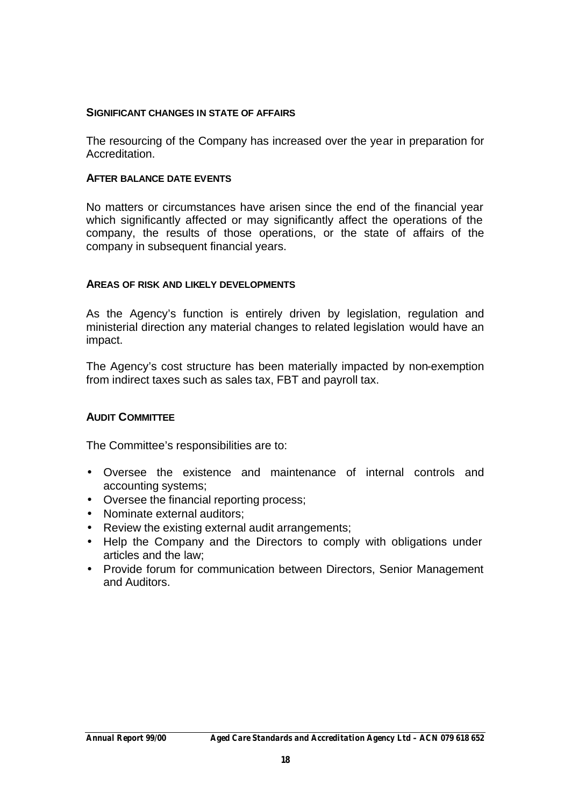#### **SIGNIFICANT CHANGES IN STATE OF AFFAIRS**

The resourcing of the Company has increased over the year in preparation for Accreditation.

#### **AFTER BALANCE DATE EVENTS**

No matters or circumstances have arisen since the end of the financial year which significantly affected or may significantly affect the operations of the company, the results of those operations, or the state of affairs of the company in subsequent financial years.

#### **AREAS OF RISK AND LIKELY DEVELOPMENTS**

As the Agency's function is entirely driven by legislation, regulation and ministerial direction any material changes to related legislation would have an impact.

The Agency's cost structure has been materially impacted by non-exemption from indirect taxes such as sales tax, FBT and payroll tax.

#### **AUDIT COMMITTEE**

The Committee's responsibilities are to:

- Oversee the existence and maintenance of internal controls and accounting systems;
- Oversee the financial reporting process;
- Nominate external auditors:
- Review the existing external audit arrangements;
- Help the Company and the Directors to comply with obligations under articles and the law;
- Provide forum for communication between Directors, Senior Management and Auditors.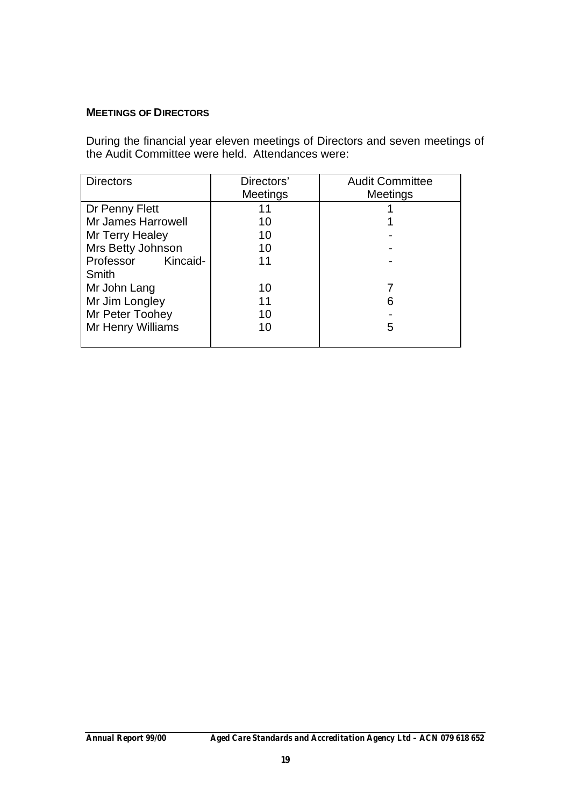## **MEETINGS OF DIRECTORS**

During the financial year eleven meetings of Directors and seven meetings of the Audit Committee were held. Attendances were:

| <b>Directors</b>          | Directors'<br>Meetings | <b>Audit Committee</b><br><b>Meetings</b> |
|---------------------------|------------------------|-------------------------------------------|
| Dr Penny Flett            | 11                     |                                           |
| <b>Mr James Harrowell</b> | 10                     |                                           |
| Mr Terry Healey           | 10                     |                                           |
| Mrs Betty Johnson         | 10                     |                                           |
| Professor<br>Kincaid-     | 11                     |                                           |
| Smith                     |                        |                                           |
| Mr John Lang              | 10                     |                                           |
| Mr Jim Longley            | 11                     | 6                                         |
| Mr Peter Toohey           | 10                     |                                           |
| Mr Henry Williams         | 10                     | 5                                         |
|                           |                        |                                           |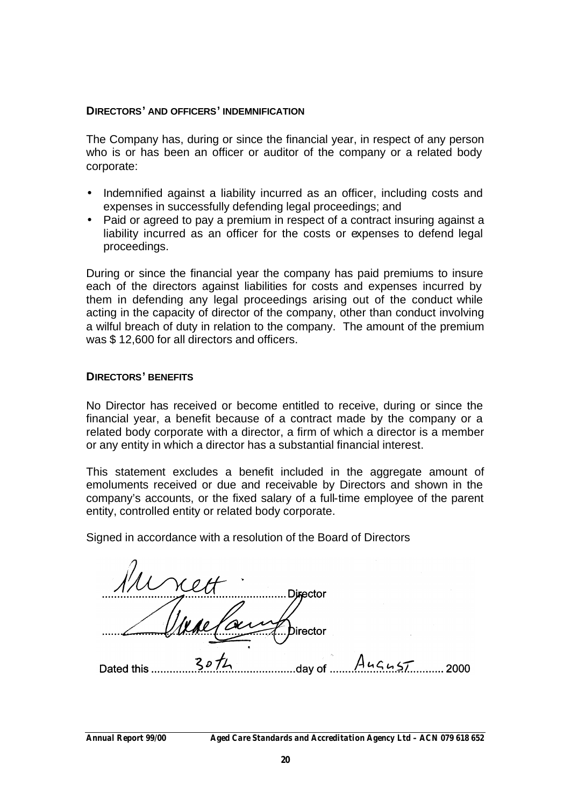#### **DIRECTORS' AND OFFICERS' INDEMNIFICATION**

The Company has, during or since the financial year, in respect of any person who is or has been an officer or auditor of the company or a related body corporate:

- Indemnified against a liability incurred as an officer, including costs and expenses in successfully defending legal proceedings; and
- Paid or agreed to pay a premium in respect of a contract insuring against a liability incurred as an officer for the costs or expenses to defend legal proceedings.

During or since the financial year the company has paid premiums to insure each of the directors against liabilities for costs and expenses incurred by them in defending any legal proceedings arising out of the conduct while acting in the capacity of director of the company, other than conduct involving a wilful breach of duty in relation to the company. The amount of the premium was \$ 12,600 for all directors and officers.

#### **DIRECTORS' BENEFITS**

No Director has received or become entitled to receive, during or since the financial year, a benefit because of a contract made by the company or a related body corporate with a director, a firm of which a director is a member or any entity in which a director has a substantial financial interest.

This statement excludes a benefit included in the aggregate amount of emoluments received or due and receivable by Directors and shown in the company's accounts, or the fixed salary of a full-time employee of the parent entity, controlled entity or related body corporate.

Signed in accordance with a resolution of the Board of Directors

|            |   | Director |           |      |
|------------|---|----------|-----------|------|
|            |   | Director |           |      |
| Dated this | מ | day of   | $A$ ugust | 2000 |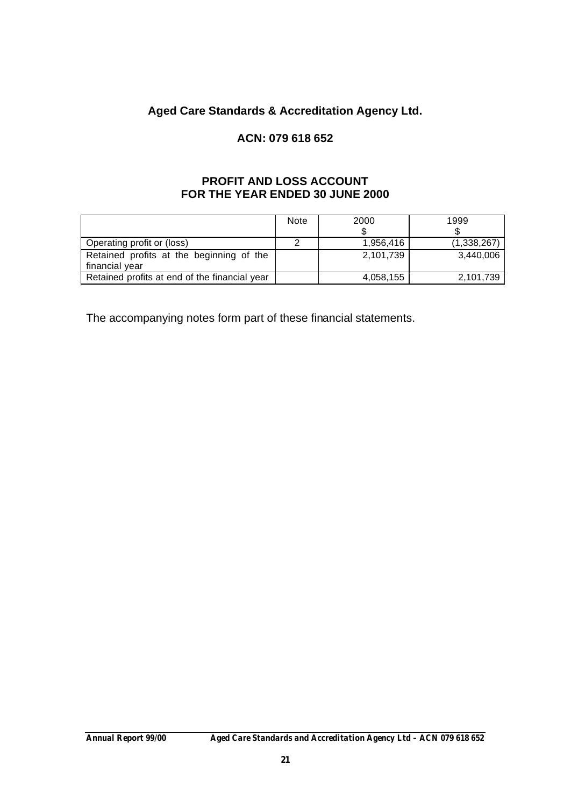## **Aged Care Standards & Accreditation Agency Ltd.**

## **ACN: 079 618 652**

#### **PROFIT AND LOSS ACCOUNT FOR THE YEAR ENDED 30 JUNE 2000**

|                                               | <b>Note</b> | 2000      | 1999        |
|-----------------------------------------------|-------------|-----------|-------------|
|                                               |             |           |             |
| Operating profit or (loss)                    |             | 1,956,416 | (1,338,267) |
| Retained profits at the beginning of the      |             | 2,101,739 | 3,440,006   |
| financial year                                |             |           |             |
| Retained profits at end of the financial year |             | 4,058,155 | 2,101,739   |

The accompanying notes form part of these financial statements.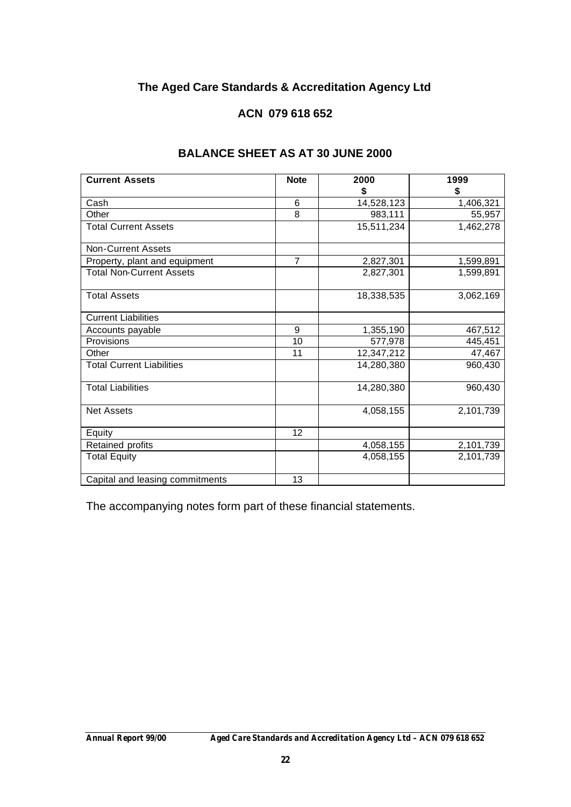# **The Aged Care Standards & Accreditation Agency Ltd**

## **ACN 079 618 652**

| <b>Current Assets</b>            | <b>Note</b>    | 2000       | 1999      |
|----------------------------------|----------------|------------|-----------|
|                                  |                | \$         | \$        |
| Cash                             | 6              | 14,528,123 | 1,406,321 |
| Other                            | 8              | 983,111    | 55,957    |
| <b>Total Current Assets</b>      |                | 15,511,234 | 1,462,278 |
| <b>Non-Current Assets</b>        |                |            |           |
| Property, plant and equipment    | $\overline{7}$ | 2,827,301  | 1,599,891 |
| <b>Total Non-Current Assets</b>  |                | 2,827,301  | 1,599,891 |
| <b>Total Assets</b>              |                | 18,338,535 | 3,062,169 |
| <b>Current Liabilities</b>       |                |            |           |
| Accounts payable                 | 9              | 1,355,190  | 467,512   |
| Provisions                       | 10             | 577,978    | 445,451   |
| Other                            | 11             | 12,347,212 | 47,467    |
| <b>Total Current Liabilities</b> |                | 14,280,380 | 960,430   |
| <b>Total Liabilities</b>         |                | 14,280,380 | 960,430   |
| <b>Net Assets</b>                |                | 4,058,155  | 2,101,739 |
| Equity                           | 12             |            |           |
| Retained profits                 |                | 4,058,155  | 2,101,739 |
| <b>Total Equity</b>              |                | 4,058,155  | 2,101,739 |
| Capital and leasing commitments  | 13             |            |           |

## **BALANCE SHEET AS AT 30 JUNE 2000**

The accompanying notes form part of these financial statements.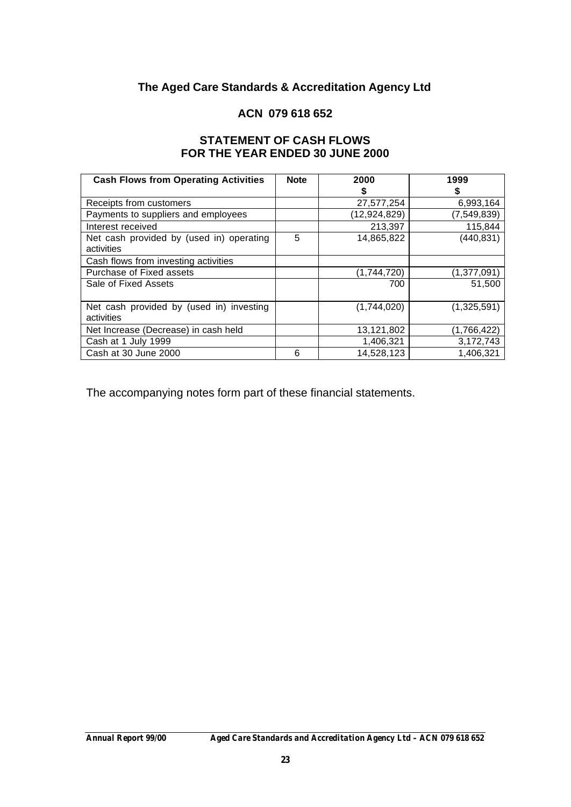## **The Aged Care Standards & Accreditation Agency Ltd**

### **ACN 079 618 652**

### **STATEMENT OF CASH FLOWS FOR THE YEAR ENDED 30 JUNE 2000**

| <b>Cash Flows from Operating Activities</b> | <b>Note</b> | 2000         | 1999          |
|---------------------------------------------|-------------|--------------|---------------|
|                                             |             | S            |               |
| Receipts from customers                     |             | 27,577,254   | 6,993,164     |
| Payments to suppliers and employees         |             | (12,924,829) | (7, 549, 839) |
| Interest received                           |             | 213,397      | 115,844       |
| Net cash provided by (used in) operating    | 5           | 14,865,822   | (440, 831)    |
| activities                                  |             |              |               |
| Cash flows from investing activities        |             |              |               |
| Purchase of Fixed assets                    |             | (1,744,720)  | (1,377,091)   |
| Sale of Fixed Assets                        |             | 700          | 51,500        |
|                                             |             |              |               |
| Net cash provided by (used in) investing    |             | (1,744,020)  | (1,325,591)   |
| activities                                  |             |              |               |
| Net Increase (Decrease) in cash held        |             | 13,121,802   | (1,766,422)   |
| Cash at 1 July 1999                         |             | 1,406,321    | 3,172,743     |
| Cash at 30 June 2000                        | 6           | 14,528,123   | 1,406,321     |

The accompanying notes form part of these financial statements.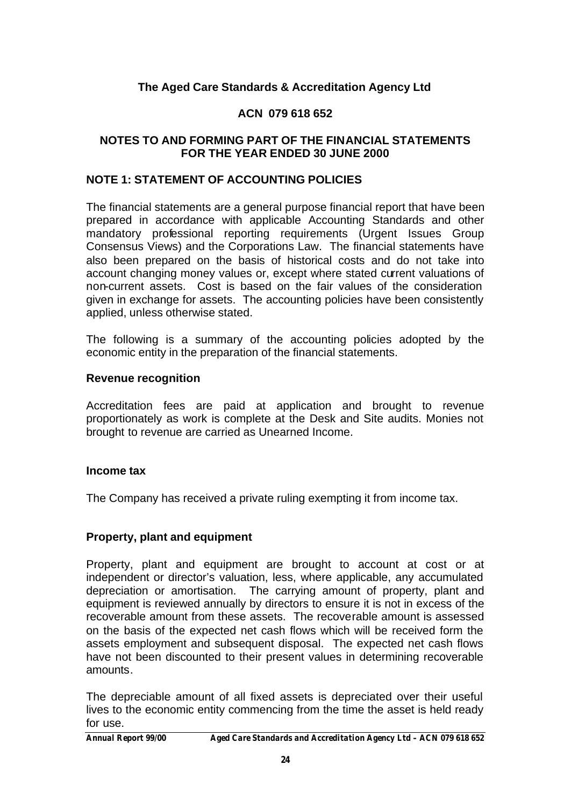## **The Aged Care Standards & Accreditation Agency Ltd**

## **ACN 079 618 652**

### **NOTES TO AND FORMING PART OF THE FINANCIAL STATEMENTS FOR THE YEAR ENDED 30 JUNE 2000**

#### **NOTE 1: STATEMENT OF ACCOUNTING POLICIES**

The financial statements are a general purpose financial report that have been prepared in accordance with applicable Accounting Standards and other mandatory professional reporting requirements (Urgent Issues Group Consensus Views) and the Corporations Law. The financial statements have also been prepared on the basis of historical costs and do not take into account changing money values or, except where stated current valuations of non-current assets. Cost is based on the fair values of the consideration given in exchange for assets. The accounting policies have been consistently applied, unless otherwise stated.

The following is a summary of the accounting policies adopted by the economic entity in the preparation of the financial statements.

#### **Revenue recognition**

Accreditation fees are paid at application and brought to revenue proportionately as work is complete at the Desk and Site audits. Monies not brought to revenue are carried as Unearned Income.

#### **Income tax**

The Company has received a private ruling exempting it from income tax.

#### **Property, plant and equipment**

Property, plant and equipment are brought to account at cost or at independent or director's valuation, less, where applicable, any accumulated depreciation or amortisation. The carrying amount of property, plant and equipment is reviewed annually by directors to ensure it is not in excess of the recoverable amount from these assets. The recoverable amount is assessed on the basis of the expected net cash flows which will be received form the assets employment and subsequent disposal. The expected net cash flows have not been discounted to their present values in determining recoverable amounts.

The depreciable amount of all fixed assets is depreciated over their useful lives to the economic entity commencing from the time the asset is held ready for use.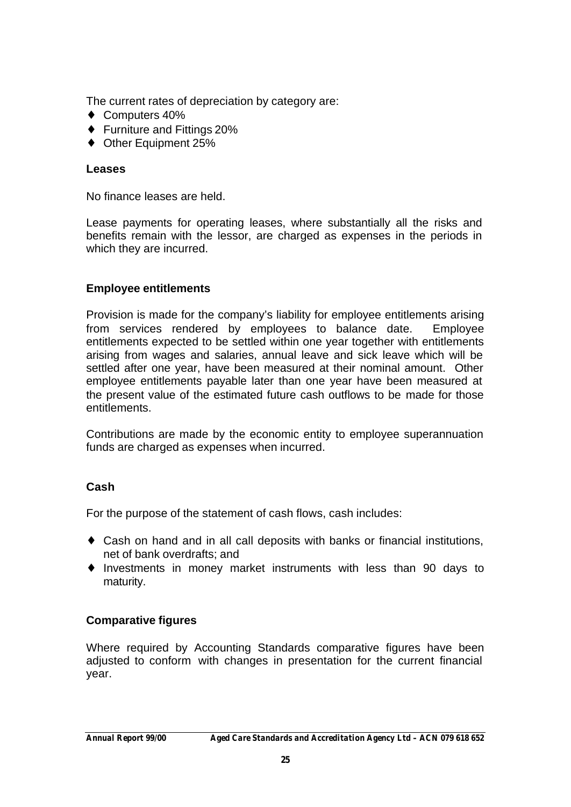The current rates of depreciation by category are:

- ♦ Computers 40%
- ♦ Furniture and Fittings 20%
- ◆ Other Equipment 25%

### **Leases**

No finance leases are held.

Lease payments for operating leases, where substantially all the risks and benefits remain with the lessor, are charged as expenses in the periods in which they are incurred.

## **Employee entitlements**

Provision is made for the company's liability for employee entitlements arising from services rendered by employees to balance date. Employee entitlements expected to be settled within one year together with entitlements arising from wages and salaries, annual leave and sick leave which will be settled after one year, have been measured at their nominal amount. Other employee entitlements payable later than one year have been measured at the present value of the estimated future cash outflows to be made for those entitlements.

Contributions are made by the economic entity to employee superannuation funds are charged as expenses when incurred.

## **Cash**

For the purpose of the statement of cash flows, cash includes:

- ♦ Cash on hand and in all call deposits with banks or financial institutions, net of bank overdrafts; and
- ♦ Investments in money market instruments with less than 90 days to maturity.

## **Comparative figures**

Where required by Accounting Standards comparative figures have been adjusted to conform with changes in presentation for the current financial year.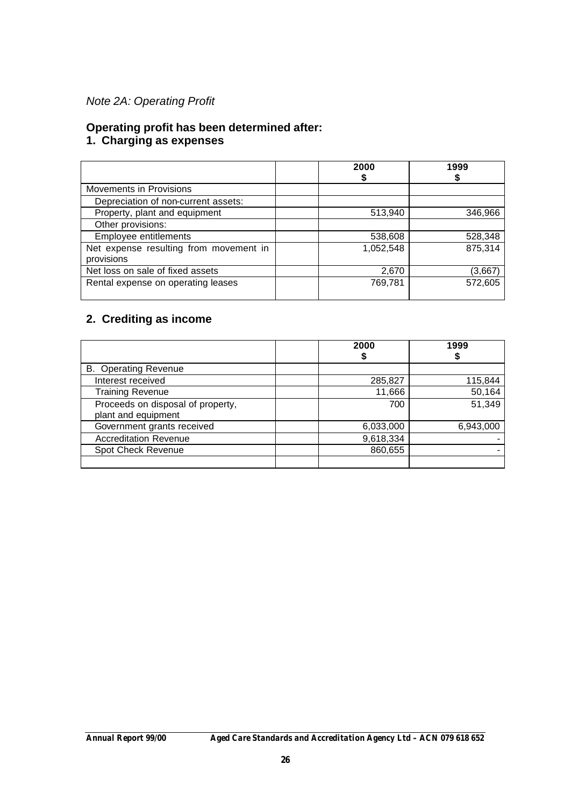## *Note 2A: Operating Profit*

#### **Operating profit has been determined after:**

#### **1. Charging as expenses**

|                                                      | 2000      | 1999    |
|------------------------------------------------------|-----------|---------|
| Movements in Provisions                              |           |         |
| Depreciation of non-current assets:                  |           |         |
| Property, plant and equipment                        | 513,940   | 346,966 |
| Other provisions:                                    |           |         |
| Employee entitlements                                | 538,608   | 528,348 |
| Net expense resulting from movement in<br>provisions | 1,052,548 | 875,314 |
| Net loss on sale of fixed assets                     | 2,670     | (3,667) |
| Rental expense on operating leases                   | 769,781   | 572,605 |

## **2. Crediting as income**

|                                                          | 2000      | 1999      |
|----------------------------------------------------------|-----------|-----------|
| <b>B.</b> Operating Revenue                              |           |           |
| Interest received                                        | 285,827   | 115,844   |
| <b>Training Revenue</b>                                  | 11,666    | 50,164    |
| Proceeds on disposal of property,<br>plant and equipment | 700       | 51,349    |
| Government grants received                               | 6,033,000 | 6,943,000 |
| <b>Accreditation Revenue</b>                             | 9,618,334 |           |
| Spot Check Revenue                                       | 860,655   |           |
|                                                          |           |           |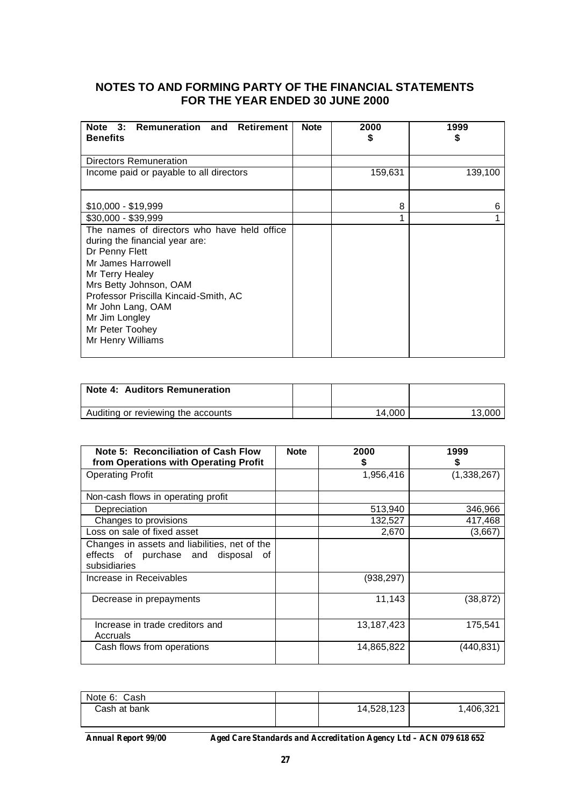### **NOTES TO AND FORMING PARTY OF THE FINANCIAL STATEMENTS FOR THE YEAR ENDED 30 JUNE 2000**

| Note 3: Remuneration and Retirement<br><b>Benefits</b>                                                                                                                                                                                                                                     | <b>Note</b> | 2000<br>S | 1999<br>S |
|--------------------------------------------------------------------------------------------------------------------------------------------------------------------------------------------------------------------------------------------------------------------------------------------|-------------|-----------|-----------|
| Directors Remuneration                                                                                                                                                                                                                                                                     |             |           |           |
| Income paid or payable to all directors                                                                                                                                                                                                                                                    |             | 159,631   | 139,100   |
| $$10,000 - $19,999$                                                                                                                                                                                                                                                                        |             | 8         | 6         |
| \$30,000 - \$39,999                                                                                                                                                                                                                                                                        |             | 1         |           |
| The names of directors who have held office<br>during the financial year are:<br>Dr Penny Flett<br>Mr James Harrowell<br>Mr Terry Healey<br>Mrs Betty Johnson, OAM<br>Professor Priscilla Kincaid-Smith, AC<br>Mr John Lang, OAM<br>Mr Jim Longley<br>Mr Peter Toohey<br>Mr Henry Williams |             |           |           |

| Note 4: Auditors Remuneration      |        |        |
|------------------------------------|--------|--------|
| Auditing or reviewing the accounts | 14.000 | 13.000 |

| Note 5: Reconciliation of Cash Flow<br>from Operations with Operating Profit                            | <b>Note</b> | 2000       | 1999        |
|---------------------------------------------------------------------------------------------------------|-------------|------------|-------------|
| <b>Operating Profit</b>                                                                                 |             | 1,956,416  | (1,338,267) |
| Non-cash flows in operating profit                                                                      |             |            |             |
| Depreciation                                                                                            |             | 513,940    | 346,966     |
| Changes to provisions                                                                                   |             | 132,527    | 417,468     |
| Loss on sale of fixed asset                                                                             |             | 2,670      | (3,667)     |
| Changes in assets and liabilities, net of the<br>effects of purchase and disposal<br>0f<br>subsidiaries |             |            |             |
| Increase in Receivables                                                                                 |             | (938,297)  |             |
| Decrease in prepayments                                                                                 |             | 11,143     | (38,872)    |
| Increase in trade creditors and<br>Accruals                                                             |             | 13,187,423 | 175,541     |
| Cash flows from operations                                                                              |             | 14,865,822 | (440,831)   |

| Note 6: Cash |            |          |
|--------------|------------|----------|
| Cash at bank | 14,528,123 | ,406,321 |
|              |            |          |

*Annual Report 99/00 Aged Care Standards and Accreditation Agency Ltd – ACN 079 618 652*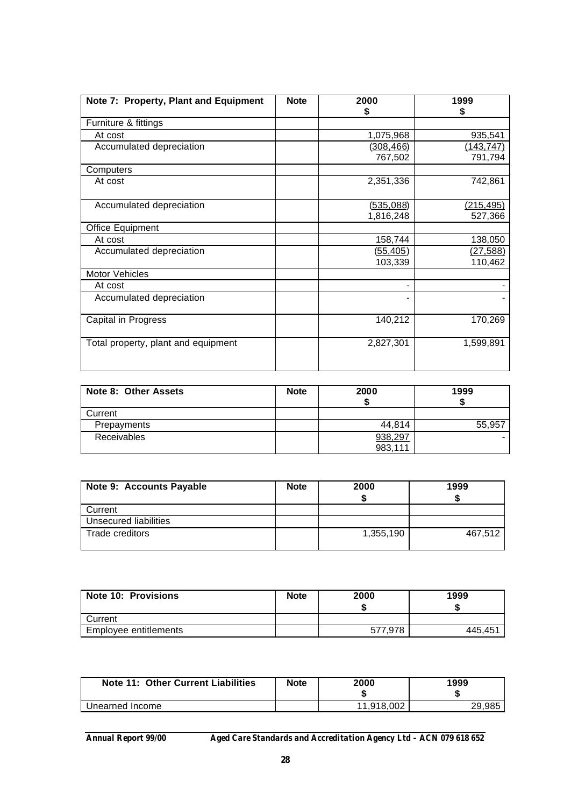| Note 7: Property, Plant and Equipment | <b>Note</b> | 2000<br>S        | 1999<br>S        |
|---------------------------------------|-------------|------------------|------------------|
| Furniture & fittings                  |             |                  |                  |
| At cost                               |             | 1,075,968        | 935,541          |
| Accumulated depreciation              |             | <u>(308,466)</u> | <u>(143,747)</u> |
|                                       |             | 767,502          | 791,794          |
| Computers                             |             |                  |                  |
| At cost                               |             | 2,351,336        | 742,861          |
|                                       |             |                  |                  |
| Accumulated depreciation              |             | (535,088)        | (215, 495)       |
|                                       |             | 1,816,248        | 527,366          |
| Office Equipment                      |             |                  |                  |
| At cost                               |             | 158,744          | 138,050          |
| Accumulated depreciation              |             | (55, 405)        | (27, 588)        |
|                                       |             | 103,339          | 110,462          |
| Motor Vehicles                        |             |                  |                  |
| At cost                               |             |                  |                  |
| Accumulated depreciation              |             |                  |                  |
| Capital in Progress                   |             | 140,212          | 170,269          |
| Total property, plant and equipment   |             | 2,827,301        | 1,599,891        |

| Note 8: Other Assets | <b>Note</b> | 2000    | 1999   |
|----------------------|-------------|---------|--------|
| Current              |             |         |        |
| Prepayments          |             | 44.814  | 55,957 |
| Receivables          |             | 938,297 |        |
|                      |             | 983,111 |        |

| Note 9: Accounts Payable | <b>Note</b> | 2000      | 1999    |
|--------------------------|-------------|-----------|---------|
| Current                  |             |           |         |
| Unsecured liabilities    |             |           |         |
| Trade creditors          |             | 1,355,190 | 467.512 |

| <b>Note 10: Provisions</b> | <b>Note</b> | 2000    | 1999    |
|----------------------------|-------------|---------|---------|
| Current                    |             |         |         |
| Employee entitlements      |             | 577,978 | 445.451 |

| Note 11: Other Current Liabilities | Note | 2000       | 1999<br>- 11 |
|------------------------------------|------|------------|--------------|
| Unearned Income                    |      | 11.918.002 | วด ดคร       |

*Annual Report 99/00 Aged Care Standards and Accreditation Agency Ltd – ACN 079 618 652*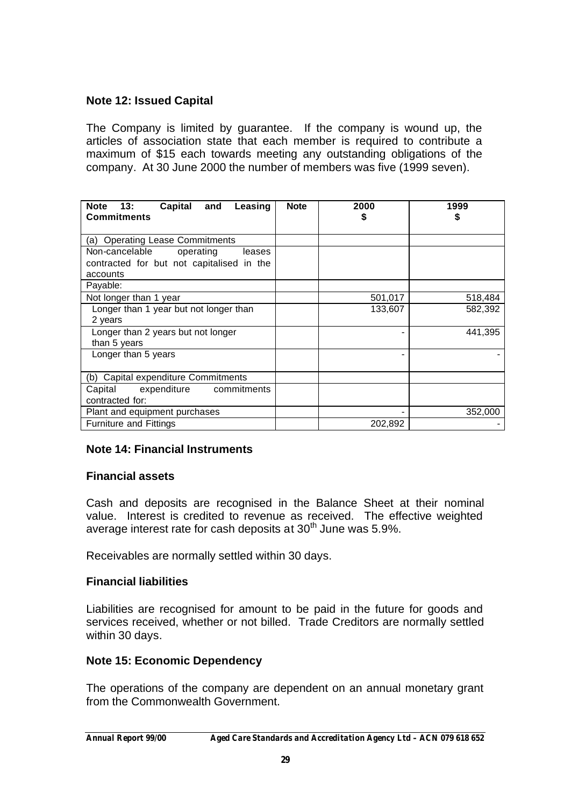## **Note 12: Issued Capital**

The Company is limited by guarantee. If the company is wound up, the articles of association state that each member is required to contribute a maximum of \$15 each towards meeting any outstanding obligations of the company. At 30 June 2000 the number of members was five (1999 seven).

| 13:<br><b>Note</b><br>Capital and<br>Leasing<br><b>Commitments</b> | <b>Note</b> | 2000<br>S | 1999<br>S |
|--------------------------------------------------------------------|-------------|-----------|-----------|
| (a) Operating Lease Commitments                                    |             |           |           |
| Non-cancelable<br>operating<br>leases                              |             |           |           |
| contracted for but not capitalised in the                          |             |           |           |
| accounts                                                           |             |           |           |
| Payable:                                                           |             |           |           |
| Not longer than 1 year                                             |             | 501,017   | 518,484   |
| Longer than 1 year but not longer than                             |             | 133,607   | 582,392   |
| 2 years                                                            |             |           |           |
| Longer than 2 years but not longer                                 |             |           | 441,395   |
| than 5 years                                                       |             |           |           |
| Longer than 5 years                                                |             |           |           |
| (b) Capital expenditure Commitments                                |             |           |           |
| expenditure commitments<br>Capital                                 |             |           |           |
| contracted for:                                                    |             |           |           |
| Plant and equipment purchases                                      |             |           | 352,000   |
| <b>Furniture and Fittings</b>                                      |             | 202,892   |           |

## **Note 14: Financial Instruments**

## **Financial assets**

Cash and deposits are recognised in the Balance Sheet at their nominal value. Interest is credited to revenue as received. The effective weighted average interest rate for cash deposits at  $30<sup>th</sup>$  June was 5.9%.

Receivables are normally settled within 30 days.

## **Financial liabilities**

Liabilities are recognised for amount to be paid in the future for goods and services received, whether or not billed. Trade Creditors are normally settled within 30 days.

## **Note 15: Economic Dependency**

The operations of the company are dependent on an annual monetary grant from the Commonwealth Government.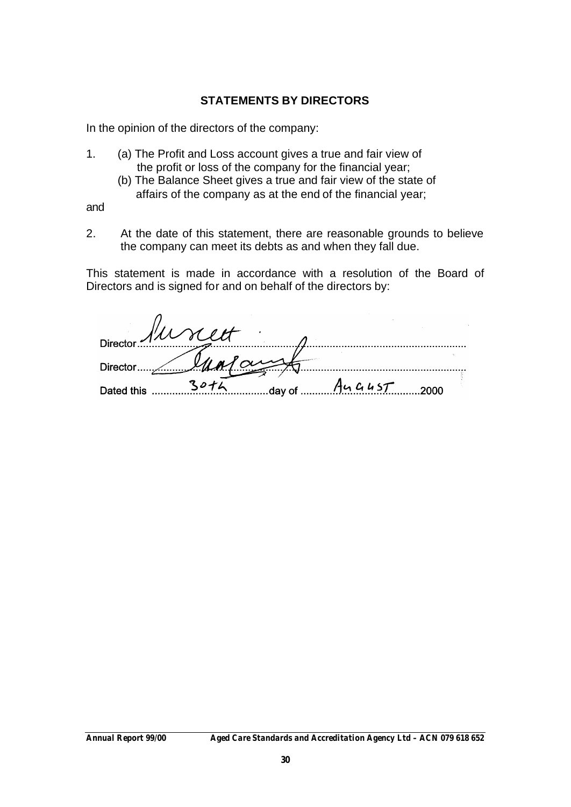## **STATEMENTS BY DIRECTORS**

In the opinion of the directors of the company:

- 1. (a) The Profit and Loss account gives a true and fair view of the profit or loss of the company for the financial year;
	- (b) The Balance Sheet gives a true and fair view of the state of affairs of the company as at the end of the financial year;

and

2. At the date of this statement, there are reasonable grounds to believe the company can meet its debts as and when they fall due.

This statement is made in accordance with a resolution of the Board of Directors and is signed for and on behalf of the directors by:

| Director $\mathcal{N}\mathcal{L}\mathcal{L}$ | TS SIT |                              |  |
|----------------------------------------------|--------|------------------------------|--|
| $\sim$ $\sim$ $\sim$ $\sim$<br>Director.     |        |                              |  |
| Dated this                                   |        | $14$ m $\frac{444457}{2000}$ |  |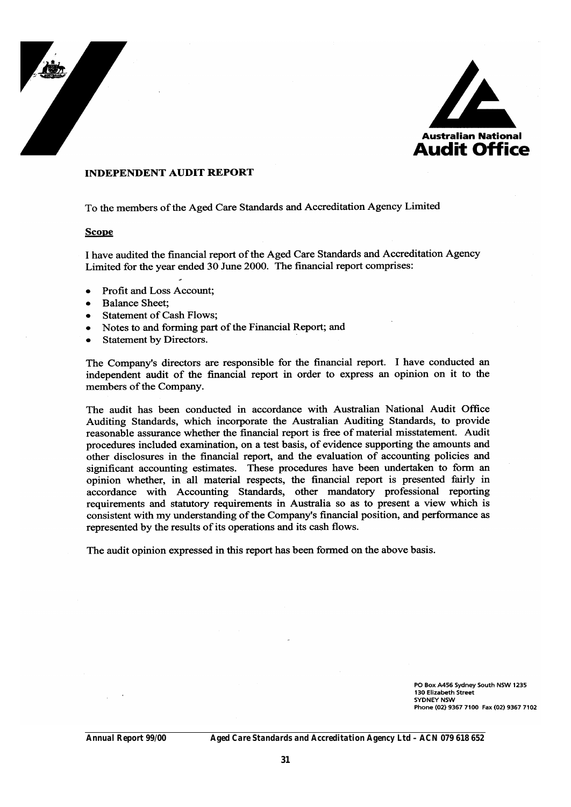



#### **INDEPENDENT AUDIT REPORT**

To the members of the Aged Care Standards and Accreditation Agency Limited

#### **Scope**

I have audited the financial report of the Aged Care Standards and Accreditation Agency Limited for the year ended 30 June 2000. The financial report comprises:

- Profit and Loss Account:  $\bullet$
- **Balance Sheet:**  $\bullet$
- **Statement of Cash Flows:**
- Notes to and forming part of the Financial Report; and  $\bullet$
- $\bullet$ **Statement by Directors.**

The Company's directors are responsible for the financial report. I have conducted an independent audit of the financial report in order to express an opinion on it to the members of the Company.

The audit has been conducted in accordance with Australian National Audit Office Auditing Standards, which incorporate the Australian Auditing Standards, to provide reasonable assurance whether the financial report is free of material misstatement. Audit procedures included examination, on a test basis, of evidence supporting the amounts and other disclosures in the financial report, and the evaluation of accounting policies and significant accounting estimates. These procedures have been undertaken to form an opinion whether, in all material respects, the financial report is presented fairly in accordance with Accounting Standards, other mandatory professional reporting requirements and statutory requirements in Australia so as to present a view which is consistent with my understanding of the Company's financial position, and performance as represented by the results of its operations and its cash flows.

The audit opinion expressed in this report has been formed on the above basis.

PO Box A456 Sydney South NSW 1235 130 Elizabeth Street **SYDNEY NSW** Phone (02) 9367 7100 Fax (02) 9367 7102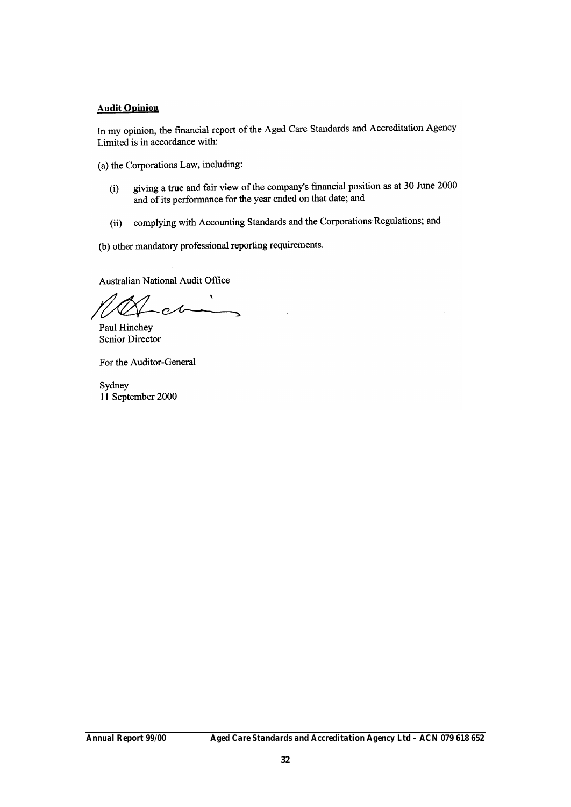#### **Audit Opinion**

In my opinion, the financial report of the Aged Care Standards and Accreditation Agency Limited is in accordance with:

(a) the Corporations Law, including:

- giving a true and fair view of the company's financial position as at 30 June 2000  $(i)$ and of its performance for the year ended on that date; and
- complying with Accounting Standards and the Corporations Regulations; and  $(ii)$

(b) other mandatory professional reporting requirements.

**Australian National Audit Office** 

Paul Hinchey Senior Director

For the Auditor-General

Sydney 11 September 2000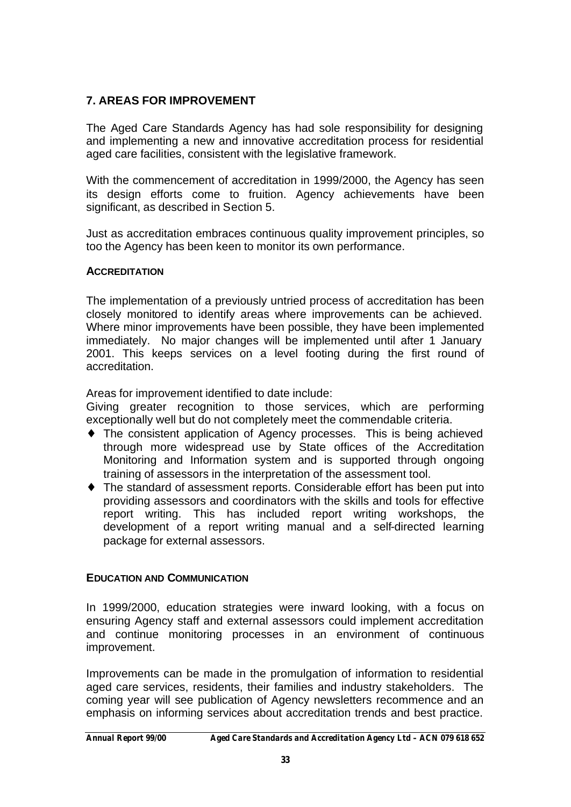## **7. AREAS FOR IMPROVEMENT**

The Aged Care Standards Agency has had sole responsibility for designing and implementing a new and innovative accreditation process for residential aged care facilities, consistent with the legislative framework.

With the commencement of accreditation in 1999/2000, the Agency has seen its design efforts come to fruition. Agency achievements have been significant, as described in Section 5.

Just as accreditation embraces continuous quality improvement principles, so too the Agency has been keen to monitor its own performance.

## **ACCREDITATION**

The implementation of a previously untried process of accreditation has been closely monitored to identify areas where improvements can be achieved. Where minor improvements have been possible, they have been implemented immediately. No major changes will be implemented until after 1 January 2001. This keeps services on a level footing during the first round of accreditation.

Areas for improvement identified to date include:

Giving greater recognition to those services, which are performing exceptionally well but do not completely meet the commendable criteria.

- ♦ The consistent application of Agency processes. This is being achieved through more widespread use by State offices of the Accreditation Monitoring and Information system and is supported through ongoing training of assessors in the interpretation of the assessment tool.
- ♦ The standard of assessment reports. Considerable effort has been put into providing assessors and coordinators with the skills and tools for effective report writing. This has included report writing workshops, the development of a report writing manual and a self-directed learning package for external assessors.

## **EDUCATION AND COMMUNICATION**

In 1999/2000, education strategies were inward looking, with a focus on ensuring Agency staff and external assessors could implement accreditation and continue monitoring processes in an environment of continuous improvement.

Improvements can be made in the promulgation of information to residential aged care services, residents, their families and industry stakeholders. The coming year will see publication of Agency newsletters recommence and an emphasis on informing services about accreditation trends and best practice.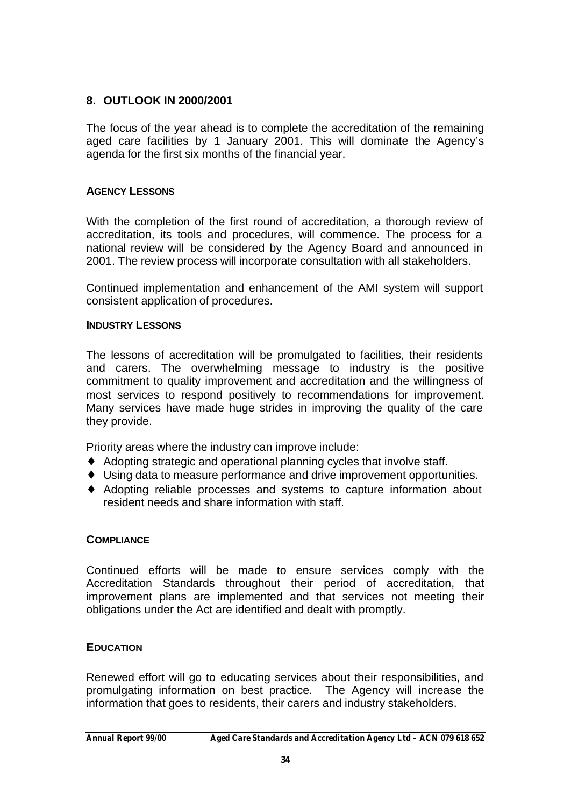## **8. OUTLOOK IN 2000/2001**

The focus of the year ahead is to complete the accreditation of the remaining aged care facilities by 1 January 2001. This will dominate the Agency's agenda for the first six months of the financial year.

## **AGENCY LESSONS**

With the completion of the first round of accreditation, a thorough review of accreditation, its tools and procedures, will commence. The process for a national review will be considered by the Agency Board and announced in 2001. The review process will incorporate consultation with all stakeholders.

Continued implementation and enhancement of the AMI system will support consistent application of procedures.

### **INDUSTRY LESSONS**

The lessons of accreditation will be promulgated to facilities, their residents and carers. The overwhelming message to industry is the positive commitment to quality improvement and accreditation and the willingness of most services to respond positively to recommendations for improvement. Many services have made huge strides in improving the quality of the care they provide.

Priority areas where the industry can improve include:

- ♦ Adopting strategic and operational planning cycles that involve staff.
- ♦ Using data to measure performance and drive improvement opportunities.
- ♦ Adopting reliable processes and systems to capture information about resident needs and share information with staff.

## **COMPLIANCE**

Continued efforts will be made to ensure services comply with the Accreditation Standards throughout their period of accreditation, that improvement plans are implemented and that services not meeting their obligations under the Act are identified and dealt with promptly.

## **EDUCATION**

Renewed effort will go to educating services about their responsibilities, and promulgating information on best practice. The Agency will increase the information that goes to residents, their carers and industry stakeholders.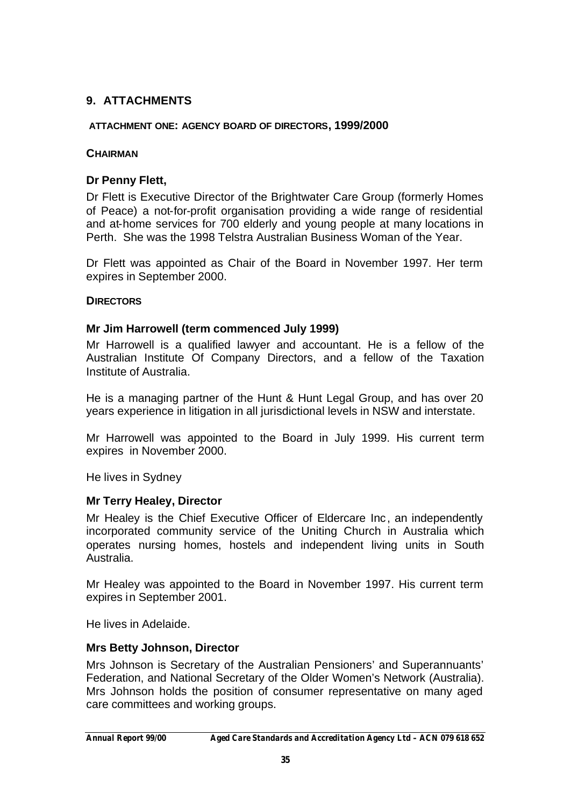## **9. ATTACHMENTS**

#### **ATTACHMENT ONE: AGENCY BOARD OF DIRECTORS, 1999/2000**

#### **CHAIRMAN**

## **Dr Penny Flett,**

Dr Flett is Executive Director of the Brightwater Care Group (formerly Homes of Peace) a not-for-profit organisation providing a wide range of residential and at-home services for 700 elderly and young people at many locations in Perth. She was the 1998 Telstra Australian Business Woman of the Year.

Dr Flett was appointed as Chair of the Board in November 1997. Her term expires in September 2000.

#### **DIRECTORS**

#### **Mr Jim Harrowell (term commenced July 1999)**

Mr Harrowell is a qualified lawyer and accountant. He is a fellow of the Australian Institute Of Company Directors, and a fellow of the Taxation Institute of Australia.

He is a managing partner of the Hunt & Hunt Legal Group, and has over 20 years experience in litigation in all jurisdictional levels in NSW and interstate.

Mr Harrowell was appointed to the Board in July 1999. His current term expires in November 2000.

He lives in Sydney

#### **Mr Terry Healey, Director**

Mr Healey is the Chief Executive Officer of Eldercare Inc, an independently incorporated community service of the Uniting Church in Australia which operates nursing homes, hostels and independent living units in South Australia.

Mr Healey was appointed to the Board in November 1997. His current term expires in September 2001.

He lives in Adelaide.

#### **Mrs Betty Johnson, Director**

Mrs Johnson is Secretary of the Australian Pensioners' and Superannuants' Federation, and National Secretary of the Older Women's Network (Australia). Mrs Johnson holds the position of consumer representative on many aged care committees and working groups.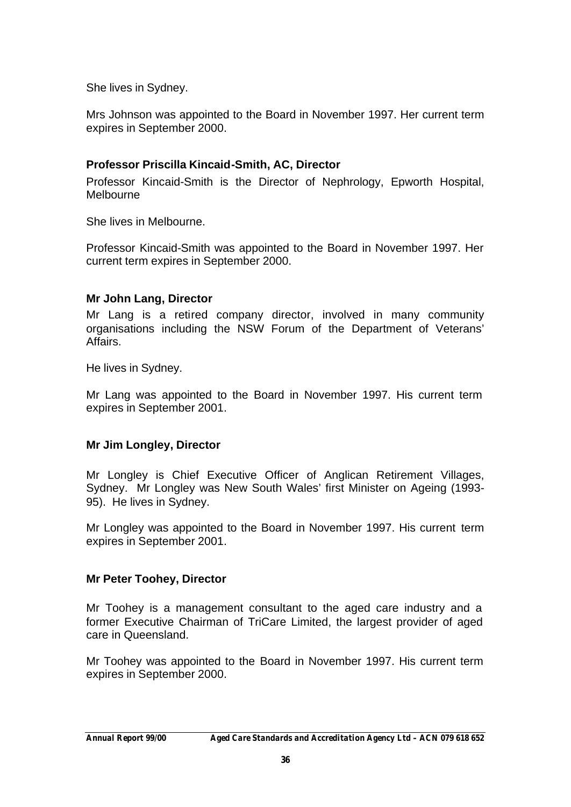She lives in Sydney.

Mrs Johnson was appointed to the Board in November 1997. Her current term expires in September 2000.

## **Professor Priscilla Kincaid-Smith, AC, Director**

Professor Kincaid-Smith is the Director of Nephrology, Epworth Hospital, Melbourne

She lives in Melbourne.

Professor Kincaid-Smith was appointed to the Board in November 1997. Her current term expires in September 2000.

### **Mr John Lang, Director**

Mr Lang is a retired company director, involved in many community organisations including the NSW Forum of the Department of Veterans' Affairs.

He lives in Sydney.

Mr Lang was appointed to the Board in November 1997. His current term expires in September 2001.

#### **Mr Jim Longley, Director**

Mr Longley is Chief Executive Officer of Anglican Retirement Villages, Sydney. Mr Longley was New South Wales' first Minister on Ageing (1993- 95). He lives in Sydney.

Mr Longley was appointed to the Board in November 1997. His current term expires in September 2001.

#### **Mr Peter Toohey, Director**

Mr Toohey is a management consultant to the aged care industry and a former Executive Chairman of TriCare Limited, the largest provider of aged care in Queensland.

Mr Toohey was appointed to the Board in November 1997. His current term expires in September 2000.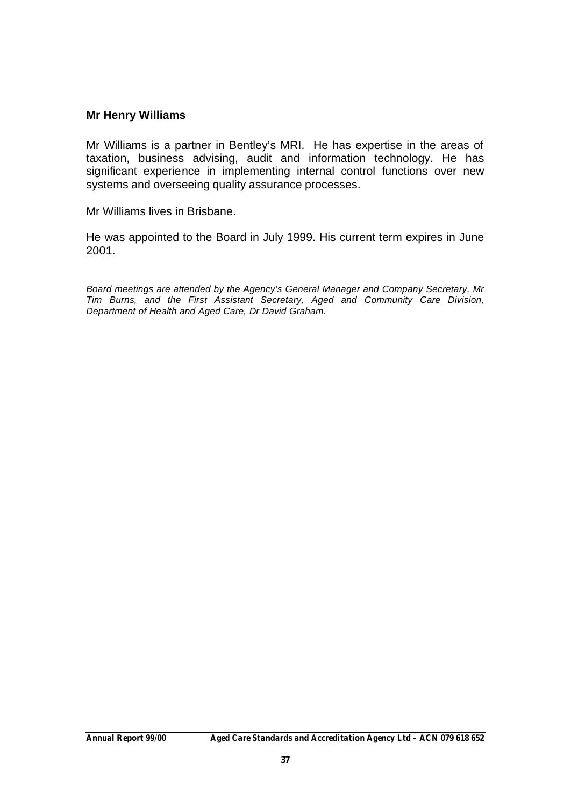### **Mr Henry Williams**

Mr Williams is a partner in Bentley's MRI. He has expertise in the areas of taxation, business advising, audit and information technology. He has significant experience in implementing internal control functions over new systems and overseeing quality assurance processes.

Mr Williams lives in Brisbane.

He was appointed to the Board in July 1999. His current term expires in June 2001.

*Board meetings are attended by the Agency's General Manager and Company Secretary, Mr Tim Burns, and the First Assistant Secretary, Aged and Community Care Division, Department of Health and Aged Care, Dr David Graham.*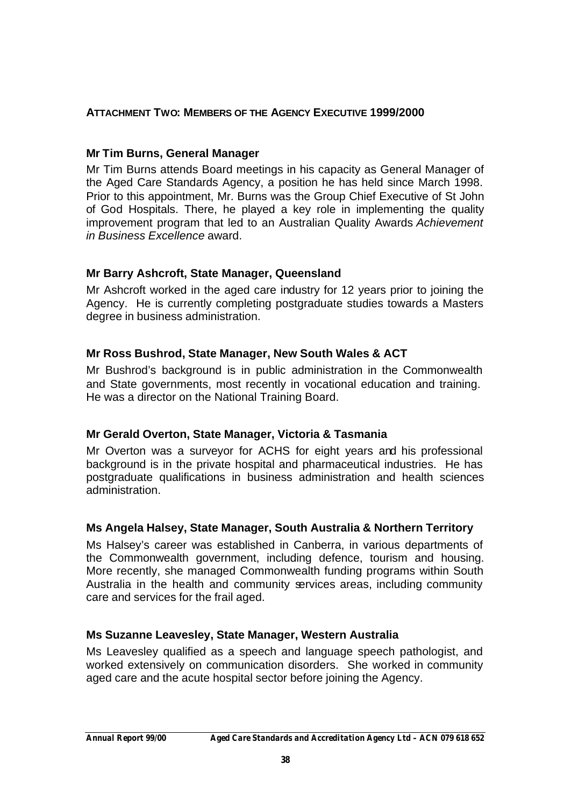## **ATTACHMENT TWO: MEMBERS OF THE AGENCY EXECUTIVE 1999/2000**

## **Mr Tim Burns, General Manager**

Mr Tim Burns attends Board meetings in his capacity as General Manager of the Aged Care Standards Agency, a position he has held since March 1998. Prior to this appointment, Mr. Burns was the Group Chief Executive of St John of God Hospitals. There, he played a key role in implementing the quality improvement program that led to an Australian Quality Awards *Achievement in Business Excellence* award.

## **Mr Barry Ashcroft, State Manager, Queensland**

Mr Ashcroft worked in the aged care industry for 12 years prior to joining the Agency. He is currently completing postgraduate studies towards a Masters degree in business administration.

## **Mr Ross Bushrod, State Manager, New South Wales & ACT**

Mr Bushrod's background is in public administration in the Commonwealth and State governments, most recently in vocational education and training. He was a director on the National Training Board.

## **Mr Gerald Overton, State Manager, Victoria & Tasmania**

Mr Overton was a surveyor for ACHS for eight years and his professional background is in the private hospital and pharmaceutical industries. He has postgraduate qualifications in business administration and health sciences administration.

## **Ms Angela Halsey, State Manager, South Australia & Northern Territory**

Ms Halsey's career was established in Canberra, in various departments of the Commonwealth government, including defence, tourism and housing. More recently, she managed Commonwealth funding programs within South Australia in the health and community services areas, including community care and services for the frail aged.

## **Ms Suzanne Leavesley, State Manager, Western Australia**

Ms Leavesley qualified as a speech and language speech pathologist, and worked extensively on communication disorders. She worked in community aged care and the acute hospital sector before joining the Agency.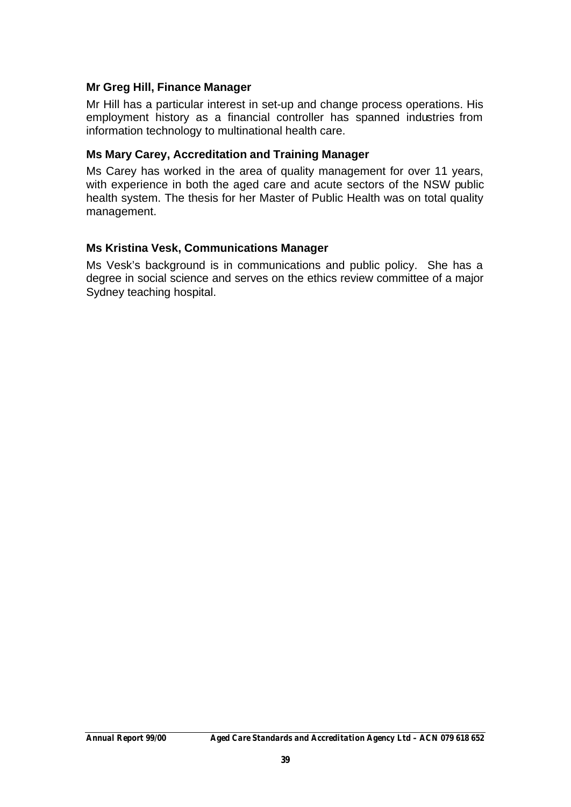## **Mr Greg Hill, Finance Manager**

Mr Hill has a particular interest in set-up and change process operations. His employment history as a financial controller has spanned industries from information technology to multinational health care.

### **Ms Mary Carey, Accreditation and Training Manager**

Ms Carey has worked in the area of quality management for over 11 years, with experience in both the aged care and acute sectors of the NSW public health system. The thesis for her Master of Public Health was on total quality management.

## **Ms Kristina Vesk, Communications Manager**

Ms Vesk's background is in communications and public policy. She has a degree in social science and serves on the ethics review committee of a major Sydney teaching hospital.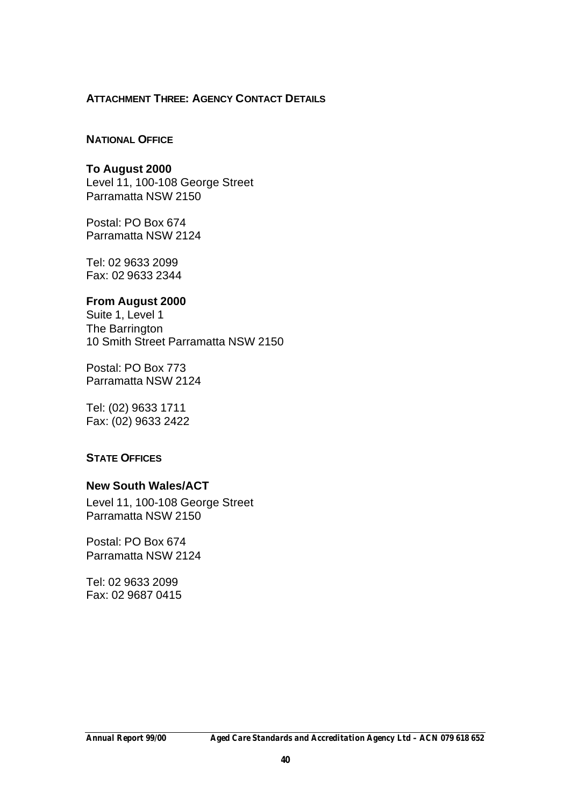#### **ATTACHMENT THREE: AGENCY CONTACT DETAILS**

#### **NATIONAL OFFICE**

**To August 2000** Level 11, 100-108 George Street Parramatta NSW 2150

Postal: PO Box 674 Parramatta NSW 2124

Tel: 02 9633 2099 Fax: 02 9633 2344

#### **From August 2000**

Suite 1, Level 1 The Barrington 10 Smith Street Parramatta NSW 2150

Postal: PO Box 773 Parramatta NSW 2124

Tel: (02) 9633 1711 Fax: (02) 9633 2422

#### **STATE OFFICES**

#### **New South Wales/ACT**

Level 11, 100-108 George Street Parramatta NSW 2150

Postal: PO Box 674 Parramatta NSW 2124

Tel: 02 9633 2099 Fax: 02 9687 0415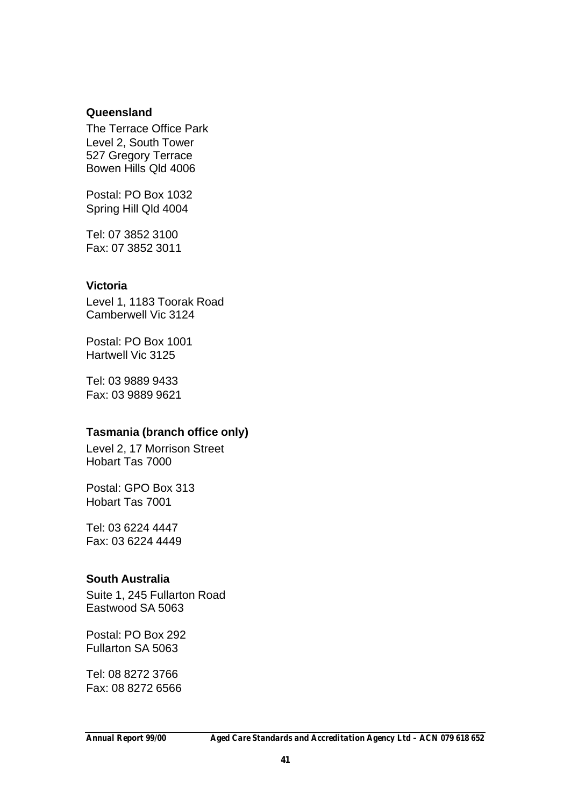### **Queensland**

The Terrace Office Park Level 2, South Tower 527 Gregory Terrace Bowen Hills Qld 4006

Postal: PO Box 1032 Spring Hill Qld 4004

Tel: 07 3852 3100 Fax: 07 3852 3011

#### **Victoria**

Level 1, 1183 Toorak Road Camberwell Vic 3124

Postal: PO Box 1001 Hartwell Vic 3125

Tel: 03 9889 9433 Fax: 03 9889 9621

#### **Tasmania (branch office only)**

Level 2, 17 Morrison Street Hobart Tas 7000

Postal: GPO Box 313 Hobart Tas 7001

Tel: 03 6224 4447 Fax: 03 6224 4449

#### **South Australia**

Suite 1, 245 Fullarton Road Eastwood SA 5063

Postal: PO Box 292 Fullarton SA 5063

Tel: 08 8272 3766 Fax: 08 8272 6566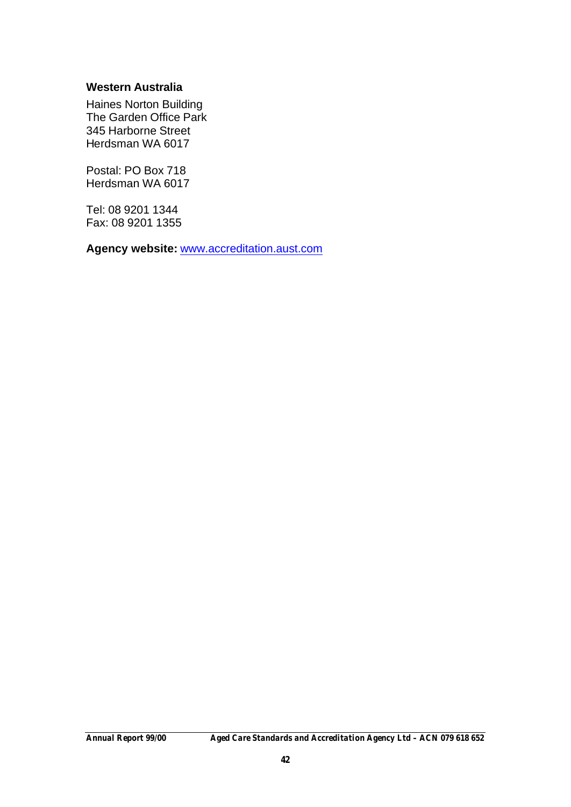#### **Western Australia**

Haines Norton Building The Garden Office Park 345 Harborne Street Herdsman WA 6017

Postal: PO Box 718 Herdsman WA 6017

Tel: 08 9201 1344 Fax: 08 9201 1355

**Agency website:** www.accreditation.aust.com